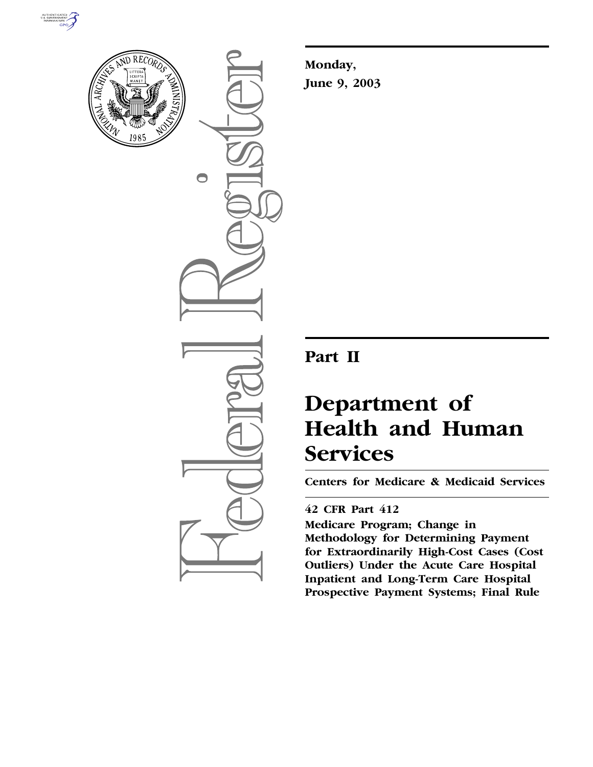



 $\bigcirc$ 

**Monday, June 9, 2003**

## **Part II**

# **Department of Health and Human Services**

**Centers for Medicare & Medicaid Services** 

### **42 CFR Part 412**

**Medicare Program; Change in Methodology for Determining Payment for Extraordinarily High-Cost Cases (Cost Outliers) Under the Acute Care Hospital Inpatient and Long-Term Care Hospital Prospective Payment Systems; Final Rule**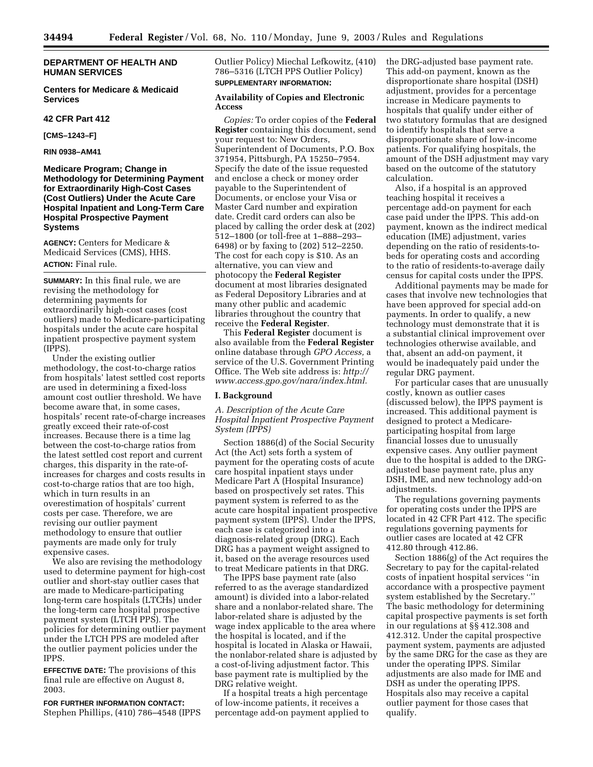#### **DEPARTMENT OF HEALTH AND HUMAN SERVICES**

#### **Centers for Medicare & Medicaid Services**

#### **42 CFR Part 412**

**[CMS–1243–F]** 

#### **RIN 0938–AM41**

#### **Medicare Program; Change in Methodology for Determining Payment for Extraordinarily High-Cost Cases (Cost Outliers) Under the Acute Care Hospital Inpatient and Long-Term Care Hospital Prospective Payment Systems**

**AGENCY:** Centers for Medicare & Medicaid Services (CMS), HHS. **ACTION:** Final rule.

**SUMMARY:** In this final rule, we are revising the methodology for determining payments for extraordinarily high-cost cases (cost outliers) made to Medicare-participating hospitals under the acute care hospital inpatient prospective payment system (IPPS).

Under the existing outlier methodology, the cost-to-charge ratios from hospitals' latest settled cost reports are used in determining a fixed-loss amount cost outlier threshold. We have become aware that, in some cases, hospitals' recent rate-of-charge increases greatly exceed their rate-of-cost increases. Because there is a time lag between the cost-to-charge ratios from the latest settled cost report and current charges, this disparity in the rate-ofincreases for charges and costs results in cost-to-charge ratios that are too high, which in turn results in an overestimation of hospitals' current costs per case. Therefore, we are revising our outlier payment methodology to ensure that outlier payments are made only for truly expensive cases.

We also are revising the methodology used to determine payment for high-cost outlier and short-stay outlier cases that are made to Medicare-participating long-term care hospitals (LTCHs) under the long-term care hospital prospective payment system (LTCH PPS). The policies for determining outlier payment under the LTCH PPS are modeled after the outlier payment policies under the IPPS.

**EFFECTIVE DATE:** The provisions of this final rule are effective on August 8, 2003.

**FOR FURTHER INFORMATION CONTACT:** Stephen Phillips, (410) 786–4548 (IPPS Outlier Policy) Miechal Lefkowitz, (410) 786–5316 (LTCH PPS Outlier Policy) **SUPPLEMENTARY INFORMATION:**

#### **Availability of Copies and Electronic Access**

*Copies:* To order copies of the **Federal Register** containing this document, send your request to: New Orders, Superintendent of Documents, P.O. Box 371954, Pittsburgh, PA 15250–7954. Specify the date of the issue requested and enclose a check or money order payable to the Superintendent of Documents, or enclose your Visa or Master Card number and expiration date. Credit card orders can also be placed by calling the order desk at (202) 512–1800 (or toll-free at 1–888–293– 6498) or by faxing to (202) 512–2250. The cost for each copy is \$10. As an alternative, you can view and photocopy the **Federal Register** document at most libraries designated as Federal Depository Libraries and at many other public and academic libraries throughout the country that receive the **Federal Register**.

This **Federal Register** document is also available from the **Federal Register** online database through *GPO Access,* a service of the U.S. Government Printing Office. The Web site address is: *http:// www.access.gpo.gov/nara/index.html.*

#### **I. Background**

*A. Description of the Acute Care Hospital Inpatient Prospective Payment System (IPPS)* 

Section 1886(d) of the Social Security Act (the Act) sets forth a system of payment for the operating costs of acute care hospital inpatient stays under Medicare Part A (Hospital Insurance) based on prospectively set rates. This payment system is referred to as the acute care hospital inpatient prospective payment system (IPPS). Under the IPPS, each case is categorized into a diagnosis-related group (DRG). Each DRG has a payment weight assigned to it, based on the average resources used to treat Medicare patients in that DRG.

The IPPS base payment rate (also referred to as the average standardized amount) is divided into a labor-related share and a nonlabor-related share. The labor-related share is adjusted by the wage index applicable to the area where the hospital is located, and if the hospital is located in Alaska or Hawaii, the nonlabor-related share is adjusted by a cost-of-living adjustment factor. This base payment rate is multiplied by the DRG relative weight.

If a hospital treats a high percentage of low-income patients, it receives a percentage add-on payment applied to the DRG-adjusted base payment rate. This add-on payment, known as the disproportionate share hospital (DSH) adjustment, provides for a percentage increase in Medicare payments to hospitals that qualify under either of two statutory formulas that are designed to identify hospitals that serve a disproportionate share of low-income patients. For qualifying hospitals, the amount of the DSH adjustment may vary based on the outcome of the statutory calculation.

Also, if a hospital is an approved teaching hospital it receives a percentage add-on payment for each case paid under the IPPS. This add-on payment, known as the indirect medical education (IME) adjustment, varies depending on the ratio of residents-tobeds for operating costs and according to the ratio of residents-to-average daily census for capital costs under the IPPS.

Additional payments may be made for cases that involve new technologies that have been approved for special add-on payments. In order to qualify, a new technology must demonstrate that it is a substantial clinical improvement over technologies otherwise available, and that, absent an add-on payment, it would be inadequately paid under the regular DRG payment.

For particular cases that are unusually costly, known as outlier cases (discussed below), the IPPS payment is increased. This additional payment is designed to protect a Medicareparticipating hospital from large financial losses due to unusually expensive cases. Any outlier payment due to the hospital is added to the DRGadjusted base payment rate, plus any DSH, IME, and new technology add-on adjustments.

The regulations governing payments for operating costs under the IPPS are located in 42 CFR Part 412. The specific regulations governing payments for outlier cases are located at 42 CFR 412.80 through 412.86.

Section 1886(g) of the Act requires the Secretary to pay for the capital-related costs of inpatient hospital services ''in accordance with a prospective payment system established by the Secretary.'' The basic methodology for determining capital prospective payments is set forth in our regulations at §§ 412.308 and 412.312. Under the capital prospective payment system, payments are adjusted by the same DRG for the case as they are under the operating IPPS. Similar adjustments are also made for IME and DSH as under the operating IPPS. Hospitals also may receive a capital outlier payment for those cases that qualify.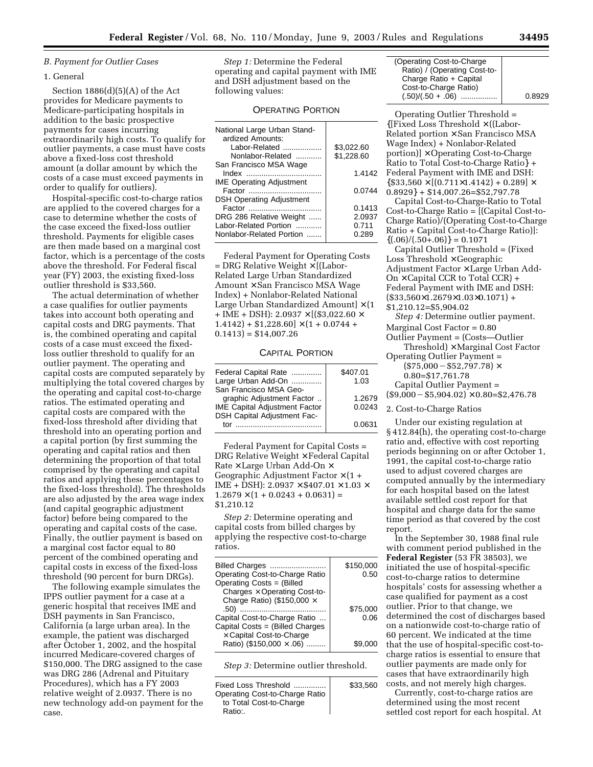#### *B. Payment for Outlier Cases*

#### 1. General

Section  $1886(d)(5)(A)$  of the Act provides for Medicare payments to Medicare-participating hospitals in addition to the basic prospective payments for cases incurring extraordinarily high costs. To qualify for outlier payments, a case must have costs above a fixed-loss cost threshold amount (a dollar amount by which the costs of a case must exceed payments in order to qualify for outliers).

Hospital-specific cost-to-charge ratios are applied to the covered charges for a case to determine whether the costs of the case exceed the fixed-loss outlier threshold. Payments for eligible cases are then made based on a marginal cost factor, which is a percentage of the costs above the threshold. For Federal fiscal year (FY) 2003, the existing fixed-loss outlier threshold is \$33,560.

The actual determination of whether a case qualifies for outlier payments takes into account both operating and capital costs and DRG payments. That is, the combined operating and capital costs of a case must exceed the fixedloss outlier threshold to qualify for an outlier payment. The operating and capital costs are computed separately by multiplying the total covered charges by the operating and capital cost-to-charge ratios. The estimated operating and capital costs are compared with the fixed-loss threshold after dividing that threshold into an operating portion and a capital portion (by first summing the operating and capital ratios and then determining the proportion of that total comprised by the operating and capital ratios and applying these percentages to the fixed-loss threshold). The thresholds are also adjusted by the area wage index (and capital geographic adjustment factor) before being compared to the operating and capital costs of the case. Finally, the outlier payment is based on a marginal cost factor equal to 80 percent of the combined operating and capital costs in excess of the fixed-loss threshold (90 percent for burn DRGs).

The following example simulates the IPPS outlier payment for a case at a generic hospital that receives IME and DSH payments in San Francisco, California (a large urban area). In the example, the patient was discharged after October 1, 2002, and the hospital incurred Medicare-covered charges of \$150,000. The DRG assigned to the case was DRG 286 (Adrenal and Pituitary Procedures), which has a FY 2003 relative weight of 2.0937. There is no new technology add-on payment for the case.

*Step 1:* Determine the Federal operating and capital payment with IME and DSH adjustment based on the following values:

#### OPERATING PORTION

| National Large Urban Stand-<br>ardized Amounts: |            |
|-------------------------------------------------|------------|
| Labor-Related                                   | \$3,022.60 |
| Nonlabor-Related                                | \$1,228.60 |
| San Francisco MSA Wage                          |            |
|                                                 | 1.4142     |
| <b>IME Operating Adjustment</b>                 |            |
|                                                 | 0.0744     |
| <b>DSH Operating Adjustment</b>                 |            |
|                                                 | 0.1413     |
| DRG 286 Relative Weight                         | 2.0937     |
| Labor-Related Portion                           | 0.711      |
| Nonlabor-Related Portion                        | 0.289      |

Federal Payment for Operating Costs = DRG Relative Weight × [(Labor-Related Large Urban Standardized Amount × San Francisco MSA Wage Index) + Nonlabor-Related National Large Urban Standardized Amount $] \times (1)$ + IME + DSH): 2.0937  $\times$  [(\$3,022.60  $\times$  $1.4142$ ) + \$1,228.60]  $\times$  (1 + 0.0744 +  $0.1413$ ) = \$14,007.26

#### CAPITAL PORTION

| Federal Capital Rate                 | \$407.01 |
|--------------------------------------|----------|
| Large Urban Add-On                   | 1.03     |
| San Francisco MSA Geo-               |          |
| graphic Adjustment Factor            | 1.2679   |
| <b>IME Capital Adjustment Factor</b> | 0.0243   |
| DSH Capital Adjustment Fac-          |          |
| t∩r                                  | 0.0631   |
|                                      |          |

Federal Payment for Capital Costs = DRG Relative Weight × Federal Capital Rate  $\times$  Large Urban Add-On  $\times$ Geographic Adjustment Factor  $\times$  (1 + IME + DSH): 2.0937  $\times$  \$407.01  $\times$  1.03  $\times$  $1.2679 \times (1 + 0.0243 + 0.0631) =$ \$1,210.12

*Step 2:* Determine operating and capital costs from billed charges by applying the respective cost-to-charge ratios.

| Billed Charges<br>Operating Cost-to-Charge Ratio<br>Operating Costs = (Billed | \$150,000<br>0.50 |
|-------------------------------------------------------------------------------|-------------------|
| Charges $\times$ Operating Cost-to-                                           |                   |
| Charge Ratio) (\$150,000 $\times$                                             |                   |
| .50)                                                                          | \$75.000          |
| Capital Cost-to-Charge Ratio                                                  | 0.06              |
| Capital Costs = (Billed Charges                                               |                   |
| $\times$ Capital Cost-to-Charge                                               |                   |
| Ratio) (\$150,000 $\times$ .06)                                               |                   |
|                                                                               |                   |

*Step 3:* Determine outlier threshold.

| Fixed Loss Threshold<br>Operating Cost-to-Charge Ratio | \$33,560 |
|--------------------------------------------------------|----------|
| to Total Cost-to-Charge<br>Ratio:                      |          |

| 0.8929 |
|--------|
|        |

Operating Outlier Threshold = {[Fixed Loss Threshold × ((Labor-Related portion × San Francisco MSA Wage Index) + Nonlabor-Related  $\text{portion}$ ]  $\times$  Operating Cost-to-Charge Ratio to Total Cost-to-Charge Ratio} + Federal Payment with IME and DSH:  ${$33,560\times[(0.711\times1.4142)+0.289]\times}$  $0.8929$  + \$14,007.26=\$52,797.78

Capital Cost-to-Charge-Ratio to Total Cost-to-Charge Ratio = [(Capital Cost-to-Charge Ratio)/(Operating Cost-to-Charge Ratio + Capital Cost-to-Charge Ratio)]:  $\{(0.06)/(0.50+.06)\}=0.1071$ 

Capital Outlier Threshold = (Fixed Loss Threshold  $\times$  Geographic Adjustment Factor × Large Urban Add- $On \times Capital CCR$  to Total  $CCR$  + Federal Payment with IME and DSH:  $($33,560\times1.2679\times1.03\times0.1071) +$ \$1,210.12=\$5,904.02

*Step 4:* Determine outlier payment. Marginal Cost Factor = 0.80

Outlier Payment = (Costs—Outlier  $Threshold)$  × Marginal Cost Factor

Operating Outlier Payment =

 $($75,000 - $52,797.78) \times$ 

0.80=\$17,761.78 Capital Outlier Payment =

 $($9,000 - $5,904.02) \times 0.80 = $2,476.78$ 

2. Cost-to-Charge Ratios

Under our existing regulation at § 412.84(h), the operating cost-to-charge ratio and, effective with cost reporting periods beginning on or after October 1, 1991, the capital cost-to-charge ratio used to adjust covered charges are computed annually by the intermediary for each hospital based on the latest available settled cost report for that hospital and charge data for the same time period as that covered by the cost report.

In the September 30, 1988 final rule with comment period published in the **Federal Register** (53 FR 38503), we initiated the use of hospital-specific cost-to-charge ratios to determine hospitals' costs for assessing whether a case qualified for payment as a cost outlier. Prior to that change, we determined the cost of discharges based on a nationwide cost-to-charge ratio of 60 percent. We indicated at the time that the use of hospital-specific cost-tocharge ratios is essential to ensure that outlier payments are made only for cases that have extraordinarily high costs, and not merely high charges.

Currently, cost-to-charge ratios are determined using the most recent settled cost report for each hospital. At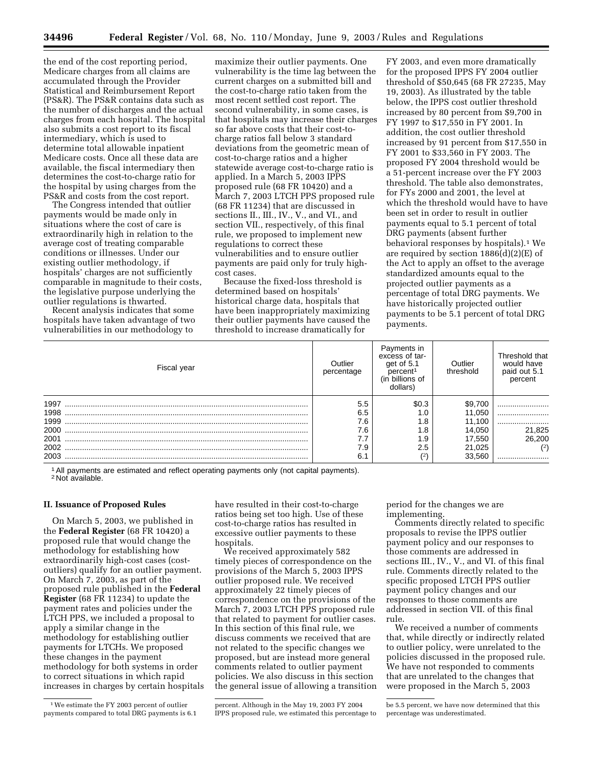the end of the cost reporting period, Medicare charges from all claims are accumulated through the Provider Statistical and Reimbursement Report (PS&R). The PS&R contains data such as the number of discharges and the actual charges from each hospital. The hospital also submits a cost report to its fiscal intermediary, which is used to determine total allowable inpatient Medicare costs. Once all these data are available, the fiscal intermediary then determines the cost-to-charge ratio for the hospital by using charges from the PS&R and costs from the cost report.

The Congress intended that outlier payments would be made only in situations where the cost of care is extraordinarily high in relation to the average cost of treating comparable conditions or illnesses. Under our existing outlier methodology, if hospitals' charges are not sufficiently comparable in magnitude to their costs, the legislative purpose underlying the outlier regulations is thwarted.

Recent analysis indicates that some hospitals have taken advantage of two vulnerabilities in our methodology to

maximize their outlier payments. One vulnerability is the time lag between the current charges on a submitted bill and the cost-to-charge ratio taken from the most recent settled cost report. The second vulnerability, in some cases, is that hospitals may increase their charges so far above costs that their cost-tocharge ratios fall below 3 standard deviations from the geometric mean of cost-to-charge ratios and a higher statewide average cost-to-charge ratio is applied. In a March 5, 2003 IPPS proposed rule (68 FR 10420) and a March 7, 2003 LTCH PPS proposed rule (68 FR 11234) that are discussed in sections II., III., IV., V., and VI., and section VII., respectively, of this final rule, we proposed to implement new regulations to correct these vulnerabilities and to ensure outlier payments are paid only for truly highcost cases.

Because the fixed-loss threshold is determined based on hospitals' historical charge data, hospitals that have been inappropriately maximizing their outlier payments have caused the threshold to increase dramatically for

FY 2003, and even more dramatically for the proposed IPPS FY 2004 outlier threshold of \$50,645 (68 FR 27235, May 19, 2003). As illustrated by the table below, the IPPS cost outlier threshold increased by 80 percent from \$9,700 in FY 1997 to \$17,550 in FY 2001. In addition, the cost outlier threshold increased by 91 percent from \$17,550 in FY 2001 to \$33,560 in FY 2003. The proposed FY 2004 threshold would be a 51-percent increase over the FY 2003 threshold. The table also demonstrates, for FYs 2000 and 2001, the level at which the threshold would have to have been set in order to result in outlier payments equal to 5.1 percent of total DRG payments (absent further behavioral responses by hospitals).1 We are required by section 1886(d)(2)(E) of the Act to apply an offset to the average standardized amounts equal to the projected outlier payments as a percentage of total DRG payments. We have historically projected outlier payments to be 5.1 percent of total DRG payments.

| Fiscal year | Outlier<br>percentage | Payments in<br>excess of tar-<br>get of 5.1<br>percent <sup>1</sup><br>(in billions of<br>dollars) | Outlier<br>threshold | Threshold that<br>would have<br>paid out 5.1<br>percent |
|-------------|-----------------------|----------------------------------------------------------------------------------------------------|----------------------|---------------------------------------------------------|
| 1997        | 5.5                   | \$0.3                                                                                              | \$9,700              |                                                         |
| 1998        | 6.5                   | 0.،                                                                                                | 11,050               |                                                         |
| 1999        | 7.6                   | 6.1                                                                                                | 11.100               |                                                         |
| 2000        | 46                    | . 8                                                                                                | 14.050               | 21,825                                                  |
| 2001        |                       | 9. ا                                                                                               | 17,550               | 26,200                                                  |
| 2002        | 7.9                   | 2.5                                                                                                | 21,025               | (2)                                                     |
| 2003        | 6.                    | (2                                                                                                 | 33.560               |                                                         |

1All payments are estimated and reflect operating payments only (not capital payments). 2 Not available.

#### **II. Issuance of Proposed Rules**

On March 5, 2003, we published in the **Federal Register** (68 FR 10420) a proposed rule that would change the methodology for establishing how extraordinarily high-cost cases (costoutliers) qualify for an outlier payment. On March 7, 2003, as part of the proposed rule published in the **Federal Register** (68 FR 11234) to update the payment rates and policies under the LTCH PPS, we included a proposal to apply a similar change in the methodology for establishing outlier payments for LTCHs. We proposed these changes in the payment methodology for both systems in order to correct situations in which rapid increases in charges by certain hospitals

have resulted in their cost-to-charge ratios being set too high. Use of these cost-to-charge ratios has resulted in excessive outlier payments to these hospitals.

We received approximately 582 timely pieces of correspondence on the provisions of the March 5, 2003 IPPS outlier proposed rule. We received approximately 22 timely pieces of correspondence on the provisions of the March 7, 2003 LTCH PPS proposed rule that related to payment for outlier cases. In this section of this final rule, we discuss comments we received that are not related to the specific changes we proposed, but are instead more general comments related to outlier payment policies. We also discuss in this section the general issue of allowing a transition period for the changes we are implementing.

Comments directly related to specific proposals to revise the IPPS outlier payment policy and our responses to those comments are addressed in sections III., IV., V., and VI. of this final rule. Comments directly related to the specific proposed LTCH PPS outlier payment policy changes and our responses to those comments are addressed in section VII. of this final rule.

We received a number of comments that, while directly or indirectly related to outlier policy, were unrelated to the policies discussed in the proposed rule. We have not responded to comments that are unrelated to the changes that were proposed in the March 5, 2003

<sup>1</sup>We estimate the FY 2003 percent of outlier payments compared to total DRG payments is 6.1

percent. Although in the May 19, 2003 FY 2004 IPPS proposed rule, we estimated this percentage to

be 5.5 percent, we have now determined that this percentage was underestimated.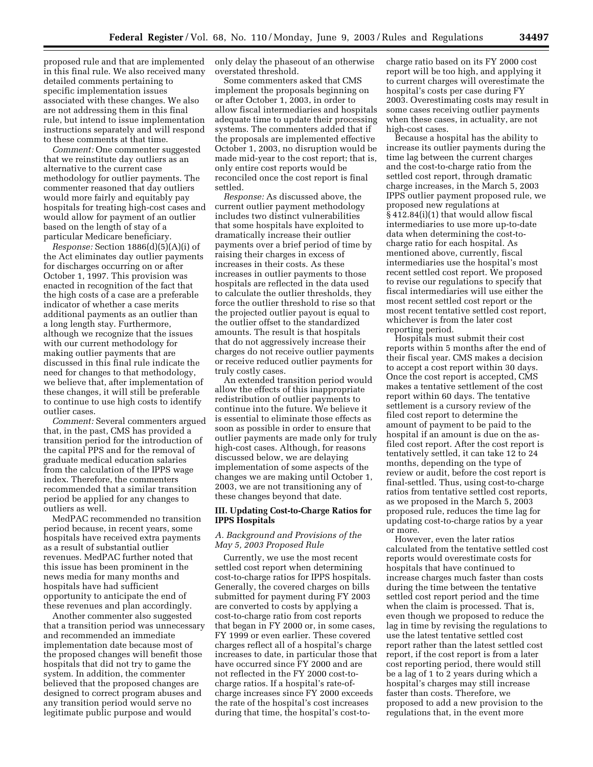proposed rule and that are implemented in this final rule. We also received many detailed comments pertaining to specific implementation issues associated with these changes. We also are not addressing them in this final rule, but intend to issue implementation instructions separately and will respond to these comments at that time.

*Comment:* One commenter suggested that we reinstitute day outliers as an alternative to the current case methodology for outlier payments. The commenter reasoned that day outliers would more fairly and equitably pay hospitals for treating high-cost cases and would allow for payment of an outlier based on the length of stay of a particular Medicare beneficiary.

*Response:* Section 1886(d)(5)(A)(i) of the Act eliminates day outlier payments for discharges occurring on or after October 1, 1997. This provision was enacted in recognition of the fact that the high costs of a case are a preferable indicator of whether a case merits additional payments as an outlier than a long length stay. Furthermore, although we recognize that the issues with our current methodology for making outlier payments that are discussed in this final rule indicate the need for changes to that methodology, we believe that, after implementation of these changes, it will still be preferable to continue to use high costs to identify outlier cases.

*Comment:* Several commenters argued that, in the past, CMS has provided a transition period for the introduction of the capital PPS and for the removal of graduate medical education salaries from the calculation of the IPPS wage index. Therefore, the commenters recommended that a similar transition period be applied for any changes to outliers as well.

MedPAC recommended no transition period because, in recent years, some hospitals have received extra payments as a result of substantial outlier revenues. MedPAC further noted that this issue has been prominent in the news media for many months and hospitals have had sufficient opportunity to anticipate the end of these revenues and plan accordingly.

Another commenter also suggested that a transition period was unnecessary and recommended an immediate implementation date because most of the proposed changes will benefit those hospitals that did not try to game the system. In addition, the commenter believed that the proposed changes are designed to correct program abuses and any transition period would serve no legitimate public purpose and would

only delay the phaseout of an otherwise overstated threshold.

Some commenters asked that CMS implement the proposals beginning on or after October 1, 2003, in order to allow fiscal intermediaries and hospitals adequate time to update their processing systems. The commenters added that if the proposals are implemented effective October 1, 2003, no disruption would be made mid-year to the cost report; that is, only entire cost reports would be reconciled once the cost report is final settled.

*Response:* As discussed above, the current outlier payment methodology includes two distinct vulnerabilities that some hospitals have exploited to dramatically increase their outlier payments over a brief period of time by raising their charges in excess of increases in their costs. As these increases in outlier payments to those hospitals are reflected in the data used to calculate the outlier thresholds, they force the outlier threshold to rise so that the projected outlier payout is equal to the outlier offset to the standardized amounts. The result is that hospitals that do not aggressively increase their charges do not receive outlier payments or receive reduced outlier payments for truly costly cases.

An extended transition period would allow the effects of this inappropriate redistribution of outlier payments to continue into the future. We believe it is essential to eliminate those effects as soon as possible in order to ensure that outlier payments are made only for truly high-cost cases. Although, for reasons discussed below, we are delaying implementation of some aspects of the changes we are making until October 1, 2003, we are not transitioning any of these changes beyond that date.

#### **III. Updating Cost-to-Charge Ratios for IPPS Hospitals**

#### *A. Background and Provisions of the May 5, 2003 Proposed Rule*

Currently, we use the most recent settled cost report when determining cost-to-charge ratios for IPPS hospitals. Generally, the covered charges on bills submitted for payment during FY 2003 are converted to costs by applying a cost-to-charge ratio from cost reports that began in FY 2000 or, in some cases, FY 1999 or even earlier. These covered charges reflect all of a hospital's charge increases to date, in particular those that have occurred since FY 2000 and are not reflected in the FY 2000 cost-tocharge ratios. If a hospital's rate-ofcharge increases since FY 2000 exceeds the rate of the hospital's cost increases during that time, the hospital's cost-tocharge ratio based on its FY 2000 cost report will be too high, and applying it to current charges will overestimate the hospital's costs per case during FY 2003. Overestimating costs may result in some cases receiving outlier payments when these cases, in actuality, are not high-cost cases.

Because a hospital has the ability to increase its outlier payments during the time lag between the current charges and the cost-to-charge ratio from the settled cost report, through dramatic charge increases, in the March 5, 2003 IPPS outlier payment proposed rule, we proposed new regulations at § 412.84(i)(1) that would allow fiscal intermediaries to use more up-to-date data when determining the cost-tocharge ratio for each hospital. As mentioned above, currently, fiscal intermediaries use the hospital's most recent settled cost report. We proposed to revise our regulations to specify that fiscal intermediaries will use either the most recent settled cost report or the most recent tentative settled cost report, whichever is from the later cost reporting period.

Hospitals must submit their cost reports within 5 months after the end of their fiscal year. CMS makes a decision to accept a cost report within 30 days. Once the cost report is accepted, CMS makes a tentative settlement of the cost report within 60 days. The tentative settlement is a cursory review of the filed cost report to determine the amount of payment to be paid to the hospital if an amount is due on the asfiled cost report. After the cost report is tentatively settled, it can take 12 to 24 months, depending on the type of review or audit, before the cost report is final-settled. Thus, using cost-to-charge ratios from tentative settled cost reports, as we proposed in the March 5, 2003 proposed rule, reduces the time lag for updating cost-to-charge ratios by a year or more.

However, even the later ratios calculated from the tentative settled cost reports would overestimate costs for hospitals that have continued to increase charges much faster than costs during the time between the tentative settled cost report period and the time when the claim is processed. That is, even though we proposed to reduce the lag in time by revising the regulations to use the latest tentative settled cost report rather than the latest settled cost report, if the cost report is from a later cost reporting period, there would still be a lag of 1 to 2 years during which a hospital's charges may still increase faster than costs. Therefore, we proposed to add a new provision to the regulations that, in the event more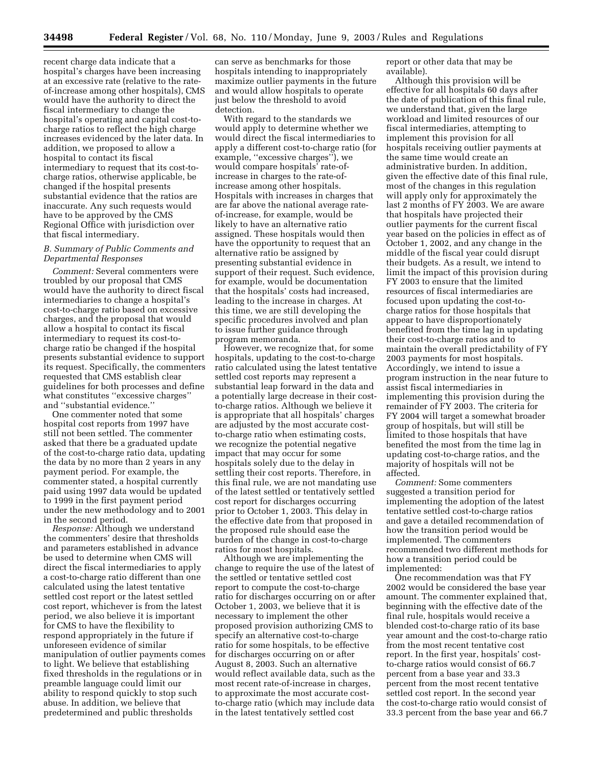recent charge data indicate that a hospital's charges have been increasing at an excessive rate (relative to the rateof-increase among other hospitals), CMS would have the authority to direct the fiscal intermediary to change the hospital's operating and capital cost-tocharge ratios to reflect the high charge increases evidenced by the later data. In addition, we proposed to allow a hospital to contact its fiscal intermediary to request that its cost-tocharge ratios, otherwise applicable, be changed if the hospital presents substantial evidence that the ratios are inaccurate. Any such requests would have to be approved by the CMS Regional Office with jurisdiction over that fiscal intermediary.

#### *B. Summary of Public Comments and Departmental Responses*

*Comment:* Several commenters were troubled by our proposal that CMS would have the authority to direct fiscal intermediaries to change a hospital's cost-to-charge ratio based on excessive charges, and the proposal that would allow a hospital to contact its fiscal intermediary to request its cost-tocharge ratio be changed if the hospital presents substantial evidence to support its request. Specifically, the commenters requested that CMS establish clear guidelines for both processes and define what constitutes ''excessive charges'' and ''substantial evidence.''

One commenter noted that some hospital cost reports from 1997 have still not been settled. The commenter asked that there be a graduated update of the cost-to-charge ratio data, updating the data by no more than 2 years in any payment period. For example, the commenter stated, a hospital currently paid using 1997 data would be updated to 1999 in the first payment period under the new methodology and to 2001 in the second period.

*Response:* Although we understand the commenters' desire that thresholds and parameters established in advance be used to determine when CMS will direct the fiscal intermediaries to apply a cost-to-charge ratio different than one calculated using the latest tentative settled cost report or the latest settled cost report, whichever is from the latest period, we also believe it is important for CMS to have the flexibility to respond appropriately in the future if unforeseen evidence of similar manipulation of outlier payments comes to light. We believe that establishing fixed thresholds in the regulations or in preamble language could limit our ability to respond quickly to stop such abuse. In addition, we believe that predetermined and public thresholds

can serve as benchmarks for those hospitals intending to inappropriately maximize outlier payments in the future and would allow hospitals to operate just below the threshold to avoid detection.

With regard to the standards we would apply to determine whether we would direct the fiscal intermediaries to apply a different cost-to-charge ratio (for example, "excessive charges", we would compare hospitals' rate-ofincrease in charges to the rate-ofincrease among other hospitals. Hospitals with increases in charges that are far above the national average rateof-increase, for example, would be likely to have an alternative ratio assigned. These hospitals would then have the opportunity to request that an alternative ratio be assigned by presenting substantial evidence in support of their request. Such evidence, for example, would be documentation that the hospitals' costs had increased, leading to the increase in charges. At this time, we are still developing the specific procedures involved and plan to issue further guidance through program memoranda.

However, we recognize that, for some hospitals, updating to the cost-to-charge ratio calculated using the latest tentative settled cost reports may represent a substantial leap forward in the data and a potentially large decrease in their costto-charge ratios. Although we believe it is appropriate that all hospitals' charges are adjusted by the most accurate costto-charge ratio when estimating costs, we recognize the potential negative impact that may occur for some hospitals solely due to the delay in settling their cost reports. Therefore, in this final rule, we are not mandating use of the latest settled or tentatively settled cost report for discharges occurring prior to October 1, 2003. This delay in the effective date from that proposed in the proposed rule should ease the burden of the change in cost-to-charge ratios for most hospitals.

Although we are implementing the change to require the use of the latest of the settled or tentative settled cost report to compute the cost-to-charge ratio for discharges occurring on or after October 1, 2003, we believe that it is necessary to implement the other proposed provision authorizing CMS to specify an alternative cost-to-charge ratio for some hospitals, to be effective for discharges occurring on or after August 8, 2003. Such an alternative would reflect available data, such as the most recent rate-of-increase in charges, to approximate the most accurate costto-charge ratio (which may include data in the latest tentatively settled cost

report or other data that may be available).

Although this provision will be effective for all hospitals 60 days after the date of publication of this final rule, we understand that, given the large workload and limited resources of our fiscal intermediaries, attempting to implement this provision for all hospitals receiving outlier payments at the same time would create an administrative burden. In addition, given the effective date of this final rule, most of the changes in this regulation will apply only for approximately the last 2 months of FY 2003. We are aware that hospitals have projected their outlier payments for the current fiscal year based on the policies in effect as of October 1, 2002, and any change in the middle of the fiscal year could disrupt their budgets. As a result, we intend to limit the impact of this provision during FY 2003 to ensure that the limited resources of fiscal intermediaries are focused upon updating the cost-tocharge ratios for those hospitals that appear to have disproportionately benefited from the time lag in updating their cost-to-charge ratios and to maintain the overall predictability of FY 2003 payments for most hospitals. Accordingly, we intend to issue a program instruction in the near future to assist fiscal intermediaries in implementing this provision during the remainder of FY 2003. The criteria for FY 2004 will target a somewhat broader group of hospitals, but will still be limited to those hospitals that have benefited the most from the time lag in updating cost-to-charge ratios, and the majority of hospitals will not be affected.

*Comment:* Some commenters suggested a transition period for implementing the adoption of the latest tentative settled cost-to-charge ratios and gave a detailed recommendation of how the transition period would be implemented. The commenters recommended two different methods for how a transition period could be implemented:

One recommendation was that FY 2002 would be considered the base year amount. The commenter explained that, beginning with the effective date of the final rule, hospitals would receive a blended cost-to-charge ratio of its base year amount and the cost-to-charge ratio from the most recent tentative cost report. In the first year, hospitals' costto-charge ratios would consist of 66.7 percent from a base year and 33.3 percent from the most recent tentative settled cost report. In the second year the cost-to-charge ratio would consist of 33.3 percent from the base year and 66.7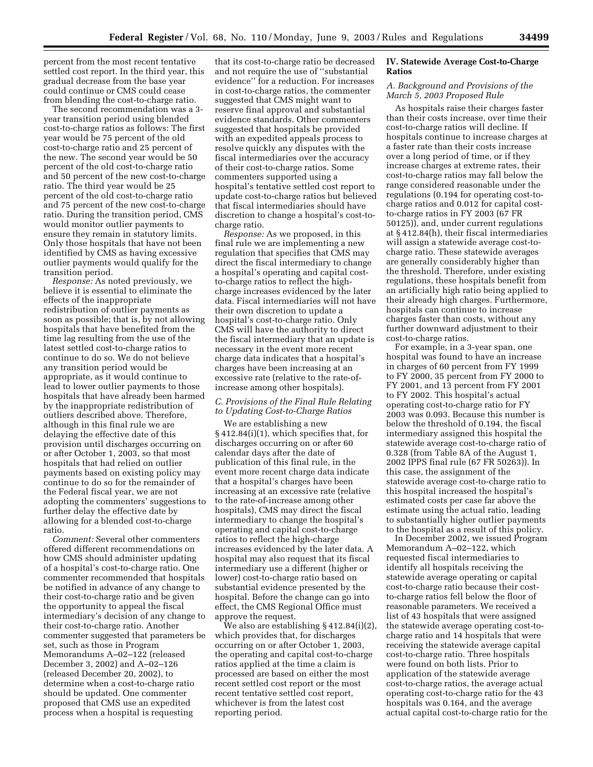percent from the most recent tentative settled cost report. In the third year, this gradual decrease from the base year could continue or CMS could cease from blending the cost-to-charge ratio.

The second recommendation was a 3 year transition period using blended cost-to-charge ratios as follows: The first year would be 75 percent of the old cost-to-charge ratio and 25 percent of the new. The second year would be 50 percent of the old cost-to-charge ratio and 50 percent of the new cost-to-charge ratio. The third year would be 25 percent of the old cost-to-charge ratio and 75 percent of the new cost-to-charge ratio. During the transition period, CMS would monitor outlier payments to ensure they remain in statutory limits. Only those hospitals that have not been identified by CMS as having excessive outlier payments would qualify for the transition period.

*Response:* As noted previously, we believe it is essential to eliminate the effects of the inappropriate redistribution of outlier payments as soon as possible; that is, by not allowing hospitals that have benefited from the time lag resulting from the use of the latest settled cost-to-charge ratios to continue to do so. We do not believe any transition period would be appropriate, as it would continue to lead to lower outlier payments to those hospitals that have already been harmed by the inappropriate redistribution of outliers described above. Therefore, although in this final rule we are delaying the effective date of this provision until discharges occurring on or after October 1, 2003, so that most hospitals that had relied on outlier payments based on existing policy may continue to do so for the remainder of the Federal fiscal year, we are not adopting the commenters' suggestions to further delay the effective date by allowing for a blended cost-to-charge ratio.

*Comment:* Several other commenters offered different recommendations on how CMS should administer updating of a hospital's cost-to-charge ratio. One commenter recommended that hospitals be notified in advance of any change to their cost-to-charge ratio and be given the opportunity to appeal the fiscal intermediary's decision of any change to their cost-to-charge ratio. Another commenter suggested that parameters be set, such as those in Program Memorandums A–02–122 (released December 3, 2002) and A–02–126 (released December 20, 2002), to determine when a cost-to-charge ratio should be updated. One commenter proposed that CMS use an expedited process when a hospital is requesting

that its cost-to-charge ratio be decreased and not require the use of ''substantial evidence'' for a reduction. For increases in cost-to-charge ratios, the commenter suggested that CMS might want to reserve final approval and substantial evidence standards. Other commenters suggested that hospitals be provided with an expedited appeals process to resolve quickly any disputes with the fiscal intermediaries over the accuracy of their cost-to-charge ratios. Some commenters supported using a hospital's tentative settled cost report to update cost-to-charge ratios but believed that fiscal intermediaries should have discretion to change a hospital's cost-tocharge ratio.

*Response:* As we proposed, in this final rule we are implementing a new regulation that specifies that CMS may direct the fiscal intermediary to change a hospital's operating and capital costto-charge ratios to reflect the highcharge increases evidenced by the later data. Fiscal intermediaries will not have their own discretion to update a hospital's cost-to-charge ratio. Only CMS will have the authority to direct the fiscal intermediary that an update is necessary in the event more recent charge data indicates that a hospital's charges have been increasing at an excessive rate (relative to the rate-ofincrease among other hospitals).

#### *C. Provisions of the Final Rule Relating to Updating Cost-to-Charge Ratios*

We are establishing a new § 412.84(i)(1), which specifies that, for discharges occurring on or after 60 calendar days after the date of publication of this final rule, in the event more recent charge data indicate that a hospital's charges have been increasing at an excessive rate (relative to the rate-of-increase among other hospitals), CMS may direct the fiscal intermediary to change the hospital's operating and capital cost-to-charge ratios to reflect the high-charge increases evidenced by the later data. A hospital may also request that its fiscal intermediary use a different (higher or lower) cost-to-charge ratio based on substantial evidence presented by the hospital. Before the change can go into effect, the CMS Regional Office must approve the request.

We also are establishing § 412.84(i)(2), which provides that, for discharges occurring on or after October 1, 2003, the operating and capital cost-to-charge ratios applied at the time a claim is processed are based on either the most recent settled cost report or the most recent tentative settled cost report, whichever is from the latest cost reporting period.

#### **IV. Statewide Average Cost-to-Charge Ratios**

#### *A. Background and Provisions of the March 5, 2003 Proposed Rule*

As hospitals raise their charges faster than their costs increase, over time their cost-to-charge ratios will decline. If hospitals continue to increase charges at a faster rate than their costs increase over a long period of time, or if they increase charges at extreme rates, their cost-to-charge ratios may fall below the range considered reasonable under the regulations (0.194 for operating cost-tocharge ratios and 0.012 for capital costto-charge ratios in FY 2003 (67 FR 50125)), and, under current regulations at § 412.84(h), their fiscal intermediaries will assign a statewide average cost-tocharge ratio. These statewide averages are generally considerably higher than the threshold. Therefore, under existing regulations, these hospitals benefit from an artificially high ratio being applied to their already high charges. Furthermore, hospitals can continue to increase charges faster than costs, without any further downward adjustment to their cost-to-charge ratios.

For example, in a 3-year span, one hospital was found to have an increase in charges of 60 percent from FY 1999 to FY 2000, 35 percent from FY 2000 to FY 2001, and 13 percent from FY 2001 to FY 2002. This hospital's actual operating cost-to-charge ratio for FY 2003 was 0.093. Because this number is below the threshold of 0.194, the fiscal intermediary assigned this hospital the statewide average cost-to-charge ratio of 0.328 (from Table 8A of the August 1, 2002 IPPS final rule (67 FR 50263)). In this case, the assignment of the statewide average cost-to-charge ratio to this hospital increased the hospital's estimated costs per case far above the estimate using the actual ratio, leading to substantially higher outlier payments to the hospital as a result of this policy.

In December 2002, we issued Program Memorandum A–02–122, which requested fiscal intermediaries to identify all hospitals receiving the statewide average operating or capital cost-to-charge ratio because their costto-charge ratios fell below the floor of reasonable parameters. We received a list of 43 hospitals that were assigned the statewide average operating cost-tocharge ratio and 14 hospitals that were receiving the statewide average capital cost-to-charge ratio. Three hospitals were found on both lists. Prior to application of the statewide average cost-to-charge ratios, the average actual operating cost-to-charge ratio for the 43 hospitals was 0.164, and the average actual capital cost-to-charge ratio for the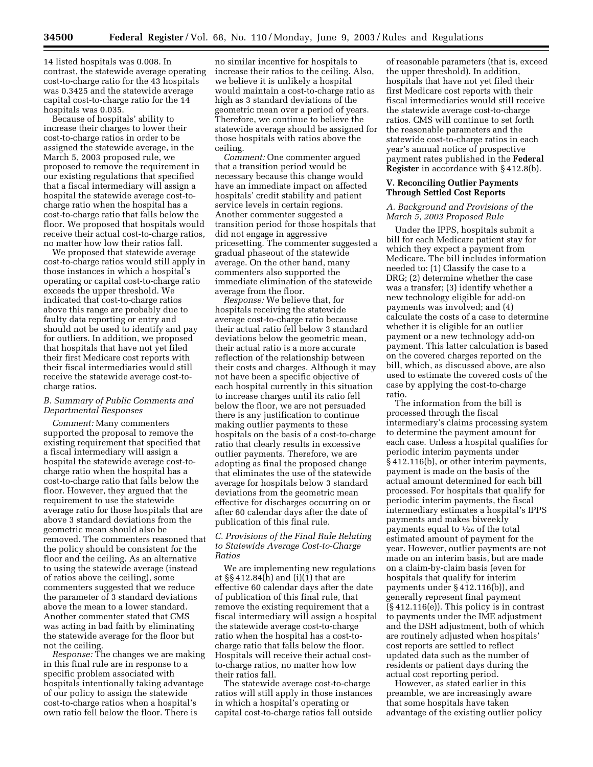14 listed hospitals was 0.008. In contrast, the statewide average operating cost-to-charge ratio for the 43 hospitals was 0.3425 and the statewide average capital cost-to-charge ratio for the 14 hospitals was 0.035.

Because of hospitals' ability to increase their charges to lower their cost-to-charge ratios in order to be assigned the statewide average, in the March 5, 2003 proposed rule, we proposed to remove the requirement in our existing regulations that specified that a fiscal intermediary will assign a hospital the statewide average cost-tocharge ratio when the hospital has a cost-to-charge ratio that falls below the floor. We proposed that hospitals would receive their actual cost-to-charge ratios, no matter how low their ratios fall.

We proposed that statewide average cost-to-charge ratios would still apply in those instances in which a hospital's operating or capital cost-to-charge ratio exceeds the upper threshold. We indicated that cost-to-charge ratios above this range are probably due to faulty data reporting or entry and should not be used to identify and pay for outliers. In addition, we proposed that hospitals that have not yet filed their first Medicare cost reports with their fiscal intermediaries would still receive the statewide average cost-tocharge ratios.

#### *B. Summary of Public Comments and Departmental Responses*

*Comment:* Many commenters supported the proposal to remove the existing requirement that specified that a fiscal intermediary will assign a hospital the statewide average cost-tocharge ratio when the hospital has a cost-to-charge ratio that falls below the floor. However, they argued that the requirement to use the statewide average ratio for those hospitals that are above 3 standard deviations from the geometric mean should also be removed. The commenters reasoned that the policy should be consistent for the floor and the ceiling. As an alternative to using the statewide average (instead of ratios above the ceiling), some commenters suggested that we reduce the parameter of 3 standard deviations above the mean to a lower standard. Another commenter stated that CMS was acting in bad faith by eliminating the statewide average for the floor but not the ceiling.

*Response:* The changes we are making in this final rule are in response to a specific problem associated with hospitals intentionally taking advantage of our policy to assign the statewide cost-to-charge ratios when a hospital's own ratio fell below the floor. There is

no similar incentive for hospitals to increase their ratios to the ceiling. Also, we believe it is unlikely a hospital would maintain a cost-to-charge ratio as high as 3 standard deviations of the geometric mean over a period of years. Therefore, we continue to believe the statewide average should be assigned for those hospitals with ratios above the ceiling.

*Comment:* One commenter argued that a transition period would be necessary because this change would have an immediate impact on affected hospitals' credit stability and patient service levels in certain regions. Another commenter suggested a transition period for those hospitals that did not engage in aggressive pricesetting. The commenter suggested a gradual phaseout of the statewide average. On the other hand, many commenters also supported the immediate elimination of the statewide average from the floor.

*Response:* We believe that, for hospitals receiving the statewide average cost-to-charge ratio because their actual ratio fell below 3 standard deviations below the geometric mean, their actual ratio is a more accurate reflection of the relationship between their costs and charges. Although it may not have been a specific objective of each hospital currently in this situation to increase charges until its ratio fell below the floor, we are not persuaded there is any justification to continue making outlier payments to these hospitals on the basis of a cost-to-charge ratio that clearly results in excessive outlier payments. Therefore, we are adopting as final the proposed change that eliminates the use of the statewide average for hospitals below 3 standard deviations from the geometric mean effective for discharges occurring on or after 60 calendar days after the date of publication of this final rule.

#### *C. Provisions of the Final Rule Relating to Statewide Average Cost-to-Charge Ratios*

We are implementing new regulations at §§ 412.84(h) and (i)(1) that are effective 60 calendar days after the date of publication of this final rule, that remove the existing requirement that a fiscal intermediary will assign a hospital the statewide average cost-to-charge ratio when the hospital has a cost-tocharge ratio that falls below the floor. Hospitals will receive their actual costto-charge ratios, no matter how low their ratios fall.

The statewide average cost-to-charge ratios will still apply in those instances in which a hospital's operating or capital cost-to-charge ratios fall outside

of reasonable parameters (that is, exceed the upper threshold). In addition, hospitals that have not yet filed their first Medicare cost reports with their fiscal intermediaries would still receive the statewide average cost-to-charge ratios. CMS will continue to set forth the reasonable parameters and the statewide cost-to-charge ratios in each year's annual notice of prospective payment rates published in the **Federal Register** in accordance with § 412.8(b).

#### **V. Reconciling Outlier Payments Through Settled Cost Reports**

#### *A. Background and Provisions of the March 5, 2003 Proposed Rule*

Under the IPPS, hospitals submit a bill for each Medicare patient stay for which they expect a payment from Medicare. The bill includes information needed to: (1) Classify the case to a DRG; (2) determine whether the case was a transfer; (3) identify whether a new technology eligible for add-on payments was involved; and (4) calculate the costs of a case to determine whether it is eligible for an outlier payment or a new technology add-on payment. This latter calculation is based on the covered charges reported on the bill, which, as discussed above, are also used to estimate the covered costs of the case by applying the cost-to-charge ratio.

The information from the bill is processed through the fiscal intermediary's claims processing system to determine the payment amount for each case. Unless a hospital qualifies for periodic interim payments under § 412.116(b), or other interim payments, payment is made on the basis of the actual amount determined for each bill processed. For hospitals that qualify for periodic interim payments, the fiscal intermediary estimates a hospital's IPPS payments and makes biweekly payments equal to 1⁄26 of the total estimated amount of payment for the year. However, outlier payments are not made on an interim basis, but are made on a claim-by-claim basis (even for hospitals that qualify for interim payments under § 412.116(b)), and generally represent final payment (§ 412.116(e)). This policy is in contrast to payments under the IME adjustment and the DSH adjustment, both of which are routinely adjusted when hospitals' cost reports are settled to reflect updated data such as the number of residents or patient days during the actual cost reporting period.

However, as stated earlier in this preamble, we are increasingly aware that some hospitals have taken advantage of the existing outlier policy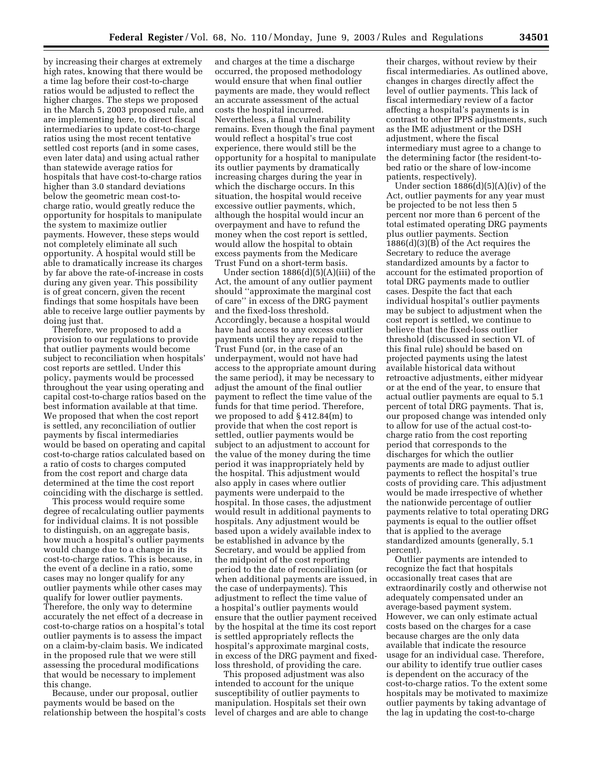by increasing their charges at extremely high rates, knowing that there would be a time lag before their cost-to-charge ratios would be adjusted to reflect the higher charges. The steps we proposed in the March 5, 2003 proposed rule, and are implementing here, to direct fiscal intermediaries to update cost-to-charge ratios using the most recent tentative settled cost reports (and in some cases, even later data) and using actual rather than statewide average ratios for hospitals that have cost-to-charge ratios higher than 3.0 standard deviations below the geometric mean cost-tocharge ratio, would greatly reduce the opportunity for hospitals to manipulate the system to maximize outlier payments. However, these steps would not completely eliminate all such opportunity. A hospital would still be able to dramatically increase its charges by far above the rate-of-increase in costs during any given year. This possibility is of great concern, given the recent findings that some hospitals have been able to receive large outlier payments by doing just that.

Therefore, we proposed to add a provision to our regulations to provide that outlier payments would become subject to reconciliation when hospitals' cost reports are settled. Under this policy, payments would be processed throughout the year using operating and capital cost-to-charge ratios based on the best information available at that time. We proposed that when the cost report is settled, any reconciliation of outlier payments by fiscal intermediaries would be based on operating and capital cost-to-charge ratios calculated based on a ratio of costs to charges computed from the cost report and charge data determined at the time the cost report coinciding with the discharge is settled.

This process would require some degree of recalculating outlier payments for individual claims. It is not possible to distinguish, on an aggregate basis, how much a hospital's outlier payments would change due to a change in its cost-to-charge ratios. This is because, in the event of a decline in a ratio, some cases may no longer qualify for any outlier payments while other cases may qualify for lower outlier payments. Therefore, the only way to determine accurately the net effect of a decrease in cost-to-charge ratios on a hospital's total outlier payments is to assess the impact on a claim-by-claim basis. We indicated in the proposed rule that we were still assessing the procedural modifications that would be necessary to implement this change.

Because, under our proposal, outlier payments would be based on the relationship between the hospital's costs

and charges at the time a discharge occurred, the proposed methodology would ensure that when final outlier payments are made, they would reflect an accurate assessment of the actual costs the hospital incurred. Nevertheless, a final vulnerability remains. Even though the final payment would reflect a hospital's true cost experience, there would still be the opportunity for a hospital to manipulate its outlier payments by dramatically increasing charges during the year in which the discharge occurs. In this situation, the hospital would receive excessive outlier payments, which, although the hospital would incur an overpayment and have to refund the money when the cost report is settled, would allow the hospital to obtain excess payments from the Medicare Trust Fund on a short-term basis.

Under section 1886(d)(5)(A)(iii) of the Act, the amount of any outlier payment should ''approximate the marginal cost of care'' in excess of the DRG payment and the fixed-loss threshold. Accordingly, because a hospital would have had access to any excess outlier payments until they are repaid to the Trust Fund (or, in the case of an underpayment, would not have had access to the appropriate amount during the same period), it may be necessary to adjust the amount of the final outlier payment to reflect the time value of the funds for that time period. Therefore, we proposed to add § 412.84(m) to provide that when the cost report is settled, outlier payments would be subject to an adjustment to account for the value of the money during the time period it was inappropriately held by the hospital. This adjustment would also apply in cases where outlier payments were underpaid to the hospital. In those cases, the adjustment would result in additional payments to hospitals. Any adjustment would be based upon a widely available index to be established in advance by the Secretary, and would be applied from the midpoint of the cost reporting period to the date of reconciliation (or when additional payments are issued, in the case of underpayments). This adjustment to reflect the time value of a hospital's outlier payments would ensure that the outlier payment received by the hospital at the time its cost report is settled appropriately reflects the hospital's approximate marginal costs, in excess of the DRG payment and fixedloss threshold, of providing the care.

This proposed adjustment was also intended to account for the unique susceptibility of outlier payments to manipulation. Hospitals set their own level of charges and are able to change

their charges, without review by their fiscal intermediaries. As outlined above, changes in charges directly affect the level of outlier payments. This lack of fiscal intermediary review of a factor affecting a hospital's payments is in contrast to other IPPS adjustments, such as the IME adjustment or the DSH adjustment, where the fiscal intermediary must agree to a change to the determining factor (the resident-tobed ratio or the share of low-income patients, respectively).

Under section  $1886(d)(5)(A)(iv)$  of the Act, outlier payments for any year must be projected to be not less then 5 percent nor more than 6 percent of the total estimated operating DRG payments plus outlier payments. Section 1886(d)(3)(B) of the Act requires the Secretary to reduce the average standardized amounts by a factor to account for the estimated proportion of total DRG payments made to outlier cases. Despite the fact that each individual hospital's outlier payments may be subject to adjustment when the cost report is settled, we continue to believe that the fixed-loss outlier threshold (discussed in section VI. of this final rule) should be based on projected payments using the latest available historical data without retroactive adjustments, either midyear or at the end of the year, to ensure that actual outlier payments are equal to 5.1 percent of total DRG payments. That is, our proposed change was intended only to allow for use of the actual cost-tocharge ratio from the cost reporting period that corresponds to the discharges for which the outlier payments are made to adjust outlier payments to reflect the hospital's true costs of providing care. This adjustment would be made irrespective of whether the nationwide percentage of outlier payments relative to total operating DRG payments is equal to the outlier offset that is applied to the average standardized amounts (generally, 5.1 percent).

Outlier payments are intended to recognize the fact that hospitals occasionally treat cases that are extraordinarily costly and otherwise not adequately compensated under an average-based payment system. However, we can only estimate actual costs based on the charges for a case because charges are the only data available that indicate the resource usage for an individual case. Therefore, our ability to identify true outlier cases is dependent on the accuracy of the cost-to-charge ratios. To the extent some hospitals may be motivated to maximize outlier payments by taking advantage of the lag in updating the cost-to-charge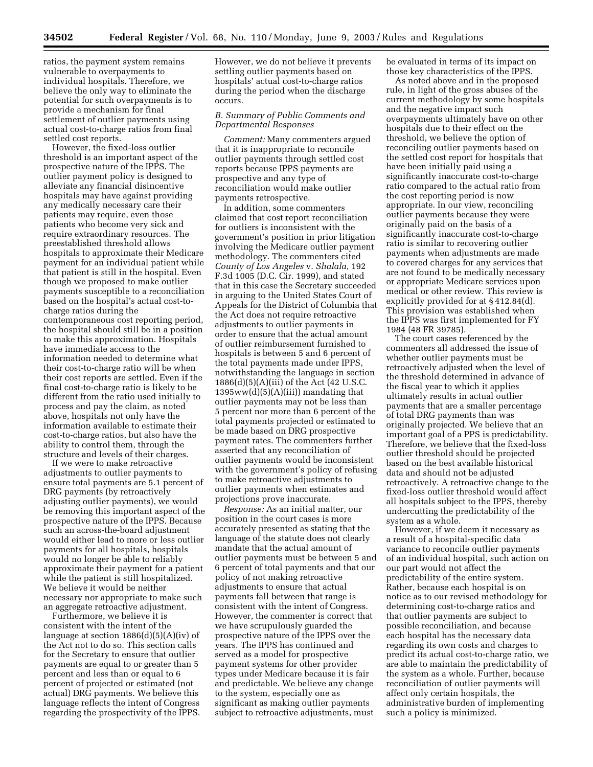ratios, the payment system remains vulnerable to overpayments to individual hospitals. Therefore, we believe the only way to eliminate the potential for such overpayments is to provide a mechanism for final settlement of outlier payments using actual cost-to-charge ratios from final settled cost reports.

However, the fixed-loss outlier threshold is an important aspect of the prospective nature of the IPPS. The outlier payment policy is designed to alleviate any financial disincentive hospitals may have against providing any medically necessary care their patients may require, even those patients who become very sick and require extraordinary resources. The preestablished threshold allows hospitals to approximate their Medicare payment for an individual patient while that patient is still in the hospital. Even though we proposed to make outlier payments susceptible to a reconciliation based on the hospital's actual cost-tocharge ratios during the contemporaneous cost reporting period, the hospital should still be in a position to make this approximation. Hospitals have immediate access to the information needed to determine what their cost-to-charge ratio will be when their cost reports are settled. Even if the final cost-to-charge ratio is likely to be different from the ratio used initially to process and pay the claim, as noted above, hospitals not only have the information available to estimate their cost-to-charge ratios, but also have the ability to control them, through the structure and levels of their charges.

If we were to make retroactive adjustments to outlier payments to ensure total payments are 5.1 percent of DRG payments (by retroactively adjusting outlier payments), we would be removing this important aspect of the prospective nature of the IPPS. Because such an across-the-board adjustment would either lead to more or less outlier payments for all hospitals, hospitals would no longer be able to reliably approximate their payment for a patient while the patient is still hospitalized. We believe it would be neither necessary nor appropriate to make such an aggregate retroactive adjustment.

Furthermore, we believe it is consistent with the intent of the language at section 1886(d)(5)(A)(iv) of the Act not to do so. This section calls for the Secretary to ensure that outlier payments are equal to or greater than 5 percent and less than or equal to 6 percent of projected or estimated (not actual) DRG payments. We believe this language reflects the intent of Congress regarding the prospectivity of the IPPS. However, we do not believe it prevents settling outlier payments based on hospitals' actual cost-to-charge ratios during the period when the discharge occurs.

#### *B. Summary of Public Comments and Departmental Responses*

*Comment:* Many commenters argued that it is inappropriate to reconcile outlier payments through settled cost reports because IPPS payments are prospective and any type of reconciliation would make outlier payments retrospective.

In addition, some commenters claimed that cost report reconciliation for outliers is inconsistent with the government's position in prior litigation involving the Medicare outlier payment methodology. The commenters cited *County of Los Angeles* v. *Shalala,* 192 F.3d 1005 (D.C. Cir. 1999), and stated that in this case the Secretary succeeded in arguing to the United States Court of Appeals for the District of Columbia that the Act does not require retroactive adjustments to outlier payments in order to ensure that the actual amount of outlier reimbursement furnished to hospitals is between 5 and 6 percent of the total payments made under IPPS, notwithstanding the language in section 1886(d)(5)(A)(iii) of the Act (42 U.S.C.  $1395ww(d)(5)(A)(iii)$  mandating that outlier payments may not be less than 5 percent nor more than 6 percent of the total payments projected or estimated to be made based on DRG prospective payment rates. The commenters further asserted that any reconciliation of outlier payments would be inconsistent with the government's policy of refusing to make retroactive adjustments to outlier payments when estimates and projections prove inaccurate.

*Response:* As an initial matter, our position in the court cases is more accurately presented as stating that the language of the statute does not clearly mandate that the actual amount of outlier payments must be between 5 and 6 percent of total payments and that our policy of not making retroactive adjustments to ensure that actual payments fall between that range is consistent with the intent of Congress. However, the commenter is correct that we have scrupulously guarded the prospective nature of the IPPS over the years. The IPPS has continued and served as a model for prospective payment systems for other provider types under Medicare because it is fair and predictable. We believe any change to the system, especially one as significant as making outlier payments subject to retroactive adjustments, must

be evaluated in terms of its impact on those key characteristics of the IPPS.

As noted above and in the proposed rule, in light of the gross abuses of the current methodology by some hospitals and the negative impact such overpayments ultimately have on other hospitals due to their effect on the threshold, we believe the option of reconciling outlier payments based on the settled cost report for hospitals that have been initially paid using a significantly inaccurate cost-to-charge ratio compared to the actual ratio from the cost reporting period is now appropriate. In our view, reconciling outlier payments because they were originally paid on the basis of a significantly inaccurate cost-to-charge ratio is similar to recovering outlier payments when adjustments are made to covered charges for any services that are not found to be medically necessary or appropriate Medicare services upon medical or other review. This review is explicitly provided for at § 412.84(d). This provision was established when the IPPS was first implemented for FY 1984 (48 FR 39785).

The court cases referenced by the commenters all addressed the issue of whether outlier payments must be retroactively adjusted when the level of the threshold determined in advance of the fiscal year to which it applies ultimately results in actual outlier payments that are a smaller percentage of total DRG payments than was originally projected. We believe that an important goal of a PPS is predictability. Therefore, we believe that the fixed-loss outlier threshold should be projected based on the best available historical data and should not be adjusted retroactively. A retroactive change to the fixed-loss outlier threshold would affect all hospitals subject to the IPPS, thereby undercutting the predictability of the system as a whole.

However, if we deem it necessary as a result of a hospital-specific data variance to reconcile outlier payments of an individual hospital, such action on our part would not affect the predictability of the entire system. Rather, because each hospital is on notice as to our revised methodology for determining cost-to-charge ratios and that outlier payments are subject to possible reconciliation, and because each hospital has the necessary data regarding its own costs and charges to predict its actual cost-to-charge ratio, we are able to maintain the predictability of the system as a whole. Further, because reconciliation of outlier payments will affect only certain hospitals, the administrative burden of implementing such a policy is minimized.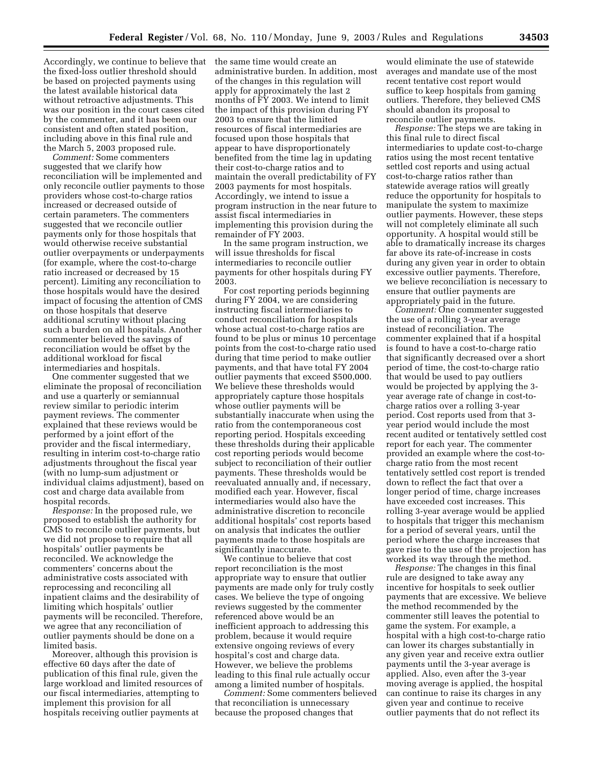Accordingly, we continue to believe that the same time would create an the fixed-loss outlier threshold should be based on projected payments using the latest available historical data without retroactive adjustments. This was our position in the court cases cited by the commenter, and it has been our consistent and often stated position, including above in this final rule and the March 5, 2003 proposed rule.

*Comment:* Some commenters suggested that we clarify how reconciliation will be implemented and only reconcile outlier payments to those providers whose cost-to-charge ratios increased or decreased outside of certain parameters. The commenters suggested that we reconcile outlier payments only for those hospitals that would otherwise receive substantial outlier overpayments or underpayments (for example, where the cost-to-charge ratio increased or decreased by 15 percent). Limiting any reconciliation to those hospitals would have the desired impact of focusing the attention of CMS on those hospitals that deserve additional scrutiny without placing such a burden on all hospitals. Another commenter believed the savings of reconciliation would be offset by the additional workload for fiscal intermediaries and hospitals.

One commenter suggested that we eliminate the proposal of reconciliation and use a quarterly or semiannual review similar to periodic interim payment reviews. The commenter explained that these reviews would be performed by a joint effort of the provider and the fiscal intermediary, resulting in interim cost-to-charge ratio adjustments throughout the fiscal year (with no lump-sum adjustment or individual claims adjustment), based on cost and charge data available from hospital records.

*Response:* In the proposed rule, we proposed to establish the authority for CMS to reconcile outlier payments, but we did not propose to require that all hospitals' outlier payments be reconciled. We acknowledge the commenters' concerns about the administrative costs associated with reprocessing and reconciling all inpatient claims and the desirability of limiting which hospitals' outlier payments will be reconciled. Therefore, we agree that any reconciliation of outlier payments should be done on a limited basis.

Moreover, although this provision is effective 60 days after the date of publication of this final rule, given the large workload and limited resources of our fiscal intermediaries, attempting to implement this provision for all hospitals receiving outlier payments at

administrative burden. In addition, most of the changes in this regulation will apply for approximately the last 2 months of FY 2003. We intend to limit the impact of this provision during FY 2003 to ensure that the limited resources of fiscal intermediaries are focused upon those hospitals that appear to have disproportionately benefited from the time lag in updating their cost-to-charge ratios and to maintain the overall predictability of FY 2003 payments for most hospitals. Accordingly, we intend to issue a program instruction in the near future to assist fiscal intermediaries in implementing this provision during the remainder of FY 2003.

In the same program instruction, we will issue thresholds for fiscal intermediaries to reconcile outlier payments for other hospitals during FY 2003.

For cost reporting periods beginning during FY 2004, we are considering instructing fiscal intermediaries to conduct reconciliation for hospitals whose actual cost-to-charge ratios are found to be plus or minus 10 percentage points from the cost-to-charge ratio used during that time period to make outlier payments, and that have total FY 2004 outlier payments that exceed \$500,000. We believe these thresholds would appropriately capture those hospitals whose outlier payments will be substantially inaccurate when using the ratio from the contemporaneous cost reporting period. Hospitals exceeding these thresholds during their applicable cost reporting periods would become subject to reconciliation of their outlier payments. These thresholds would be reevaluated annually and, if necessary, modified each year. However, fiscal intermediaries would also have the administrative discretion to reconcile additional hospitals' cost reports based on analysis that indicates the outlier payments made to those hospitals are significantly inaccurate.

We continue to believe that cost report reconciliation is the most appropriate way to ensure that outlier payments are made only for truly costly cases. We believe the type of ongoing reviews suggested by the commenter referenced above would be an inefficient approach to addressing this problem, because it would require extensive ongoing reviews of every hospital's cost and charge data. However, we believe the problems leading to this final rule actually occur among a limited number of hospitals.

*Comment:* Some commenters believed that reconciliation is unnecessary because the proposed changes that

would eliminate the use of statewide averages and mandate use of the most recent tentative cost report would suffice to keep hospitals from gaming outliers. Therefore, they believed CMS should abandon its proposal to reconcile outlier payments.

*Response:* The steps we are taking in this final rule to direct fiscal intermediaries to update cost-to-charge ratios using the most recent tentative settled cost reports and using actual cost-to-charge ratios rather than statewide average ratios will greatly reduce the opportunity for hospitals to manipulate the system to maximize outlier payments. However, these steps will not completely eliminate all such opportunity. A hospital would still be able to dramatically increase its charges far above its rate-of-increase in costs during any given year in order to obtain excessive outlier payments. Therefore, we believe reconciliation is necessary to ensure that outlier payments are appropriately paid in the future.

*Comment:* One commenter suggested the use of a rolling 3-year average instead of reconciliation. The commenter explained that if a hospital is found to have a cost-to-charge ratio that significantly decreased over a short period of time, the cost-to-charge ratio that would be used to pay outliers would be projected by applying the 3 year average rate of change in cost-tocharge ratios over a rolling 3-year period. Cost reports used from that 3 year period would include the most recent audited or tentatively settled cost report for each year. The commenter provided an example where the cost-tocharge ratio from the most recent tentatively settled cost report is trended down to reflect the fact that over a longer period of time, charge increases have exceeded cost increases. This rolling 3-year average would be applied to hospitals that trigger this mechanism for a period of several years, until the period where the charge increases that gave rise to the use of the projection has worked its way through the method.

*Response:* The changes in this final rule are designed to take away any incentive for hospitals to seek outlier payments that are excessive. We believe the method recommended by the commenter still leaves the potential to game the system. For example, a hospital with a high cost-to-charge ratio can lower its charges substantially in any given year and receive extra outlier payments until the 3-year average is applied. Also, even after the 3-year moving average is applied, the hospital can continue to raise its charges in any given year and continue to receive outlier payments that do not reflect its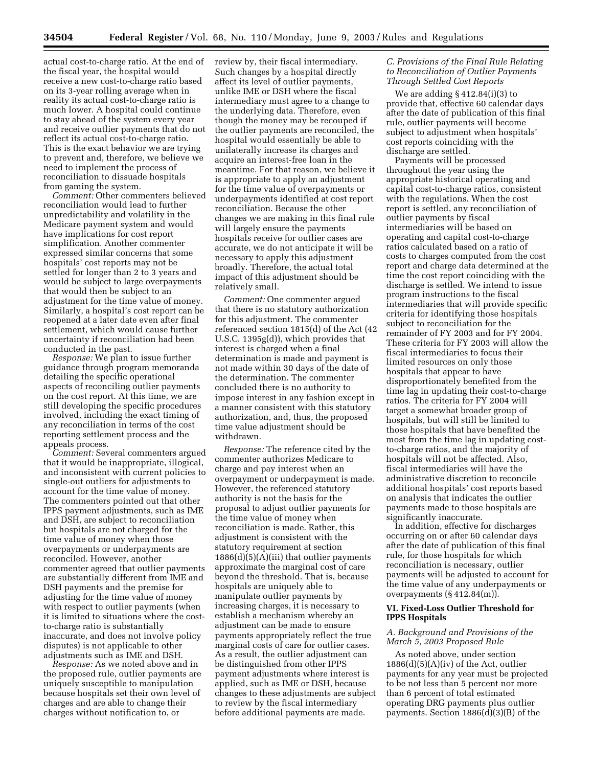actual cost-to-charge ratio. At the end of the fiscal year, the hospital would receive a new cost-to-charge ratio based on its 3-year rolling average when in reality its actual cost-to-charge ratio is much lower. A hospital could continue to stay ahead of the system every year and receive outlier payments that do not reflect its actual cost-to-charge ratio. This is the exact behavior we are trying to prevent and, therefore, we believe we need to implement the process of reconciliation to dissuade hospitals from gaming the system.

*Comment:* Other commenters believed reconciliation would lead to further unpredictability and volatility in the Medicare payment system and would have implications for cost report simplification. Another commenter expressed similar concerns that some hospitals' cost reports may not be settled for longer than 2 to 3 years and would be subject to large overpayments that would then be subject to an adjustment for the time value of money. Similarly, a hospital's cost report can be reopened at a later date even after final settlement, which would cause further uncertainty if reconciliation had been conducted in the past.

*Response:* We plan to issue further guidance through program memoranda detailing the specific operational aspects of reconciling outlier payments on the cost report. At this time, we are still developing the specific procedures involved, including the exact timing of any reconciliation in terms of the cost reporting settlement process and the appeals process.

*Comment:* Several commenters argued that it would be inappropriate, illogical, and inconsistent with current policies to single-out outliers for adjustments to account for the time value of money. The commenters pointed out that other IPPS payment adjustments, such as IME and DSH, are subject to reconciliation but hospitals are not charged for the time value of money when those overpayments or underpayments are reconciled. However, another commenter agreed that outlier payments are substantially different from IME and DSH payments and the premise for adjusting for the time value of money with respect to outlier payments (when it is limited to situations where the costto-charge ratio is substantially inaccurate, and does not involve policy disputes) is not applicable to other adjustments such as IME and DSH.

*Response:* As we noted above and in the proposed rule, outlier payments are uniquely susceptible to manipulation because hospitals set their own level of charges and are able to change their charges without notification to, or

review by, their fiscal intermediary. Such changes by a hospital directly affect its level of outlier payments, unlike IME or DSH where the fiscal intermediary must agree to a change to the underlying data. Therefore, even though the money may be recouped if the outlier payments are reconciled, the hospital would essentially be able to unilaterally increase its charges and acquire an interest-free loan in the meantime. For that reason, we believe it is appropriate to apply an adjustment for the time value of overpayments or underpayments identified at cost report reconciliation. Because the other changes we are making in this final rule will largely ensure the payments hospitals receive for outlier cases are accurate, we do not anticipate it will be necessary to apply this adjustment broadly. Therefore, the actual total impact of this adjustment should be relatively small.

*Comment:* One commenter argued that there is no statutory authorization for this adjustment. The commenter referenced section 1815(d) of the Act (42 U.S.C. 1395g(d)), which provides that interest is charged when a final determination is made and payment is not made within 30 days of the date of the determination. The commenter concluded there is no authority to impose interest in any fashion except in a manner consistent with this statutory authorization, and, thus, the proposed time value adjustment should be withdrawn.

*Response:* The reference cited by the commenter authorizes Medicare to charge and pay interest when an overpayment or underpayment is made. However, the referenced statutory authority is not the basis for the proposal to adjust outlier payments for the time value of money when reconciliation is made. Rather, this adjustment is consistent with the statutory requirement at section  $1886(d)(5)(A)(iii)$  that outlier payments approximate the marginal cost of care beyond the threshold. That is, because hospitals are uniquely able to manipulate outlier payments by increasing charges, it is necessary to establish a mechanism whereby an adjustment can be made to ensure payments appropriately reflect the true marginal costs of care for outlier cases. As a result, the outlier adjustment can be distinguished from other IPPS payment adjustments where interest is applied, such as IME or DSH, because changes to these adjustments are subject to review by the fiscal intermediary before additional payments are made.

#### *C. Provisions of the Final Rule Relating to Reconciliation of Outlier Payments Through Settled Cost Reports*

We are adding § 412.84(i)(3) to provide that, effective 60 calendar days after the date of publication of this final rule, outlier payments will become subject to adjustment when hospitals' cost reports coinciding with the discharge are settled.

Payments will be processed throughout the year using the appropriate historical operating and capital cost-to-charge ratios, consistent with the regulations. When the cost report is settled, any reconciliation of outlier payments by fiscal intermediaries will be based on operating and capital cost-to-charge ratios calculated based on a ratio of costs to charges computed from the cost report and charge data determined at the time the cost report coinciding with the discharge is settled. We intend to issue program instructions to the fiscal intermediaries that will provide specific criteria for identifying those hospitals subject to reconciliation for the remainder of FY 2003 and for FY 2004. These criteria for FY 2003 will allow the fiscal intermediaries to focus their limited resources on only those hospitals that appear to have disproportionately benefited from the time lag in updating their cost-to-charge ratios. The criteria for FY 2004 will target a somewhat broader group of hospitals, but will still be limited to those hospitals that have benefited the most from the time lag in updating costto-charge ratios, and the majority of hospitals will not be affected. Also, fiscal intermediaries will have the administrative discretion to reconcile additional hospitals' cost reports based on analysis that indicates the outlier payments made to those hospitals are significantly inaccurate.

In addition, effective for discharges occurring on or after 60 calendar days after the date of publication of this final rule, for those hospitals for which reconciliation is necessary, outlier payments will be adjusted to account for the time value of any underpayments or overpayments (§ 412.84(m)).

#### **VI. Fixed-Loss Outlier Threshold for IPPS Hospitals**

#### *A. Background and Provisions of the March 5, 2003 Proposed Rule*

As noted above, under section  $1886(d)(5)(A)(iv)$  of the Act, outlier payments for any year must be projected to be not less than 5 percent nor more than 6 percent of total estimated operating DRG payments plus outlier payments. Section 1886(d)(3)(B) of the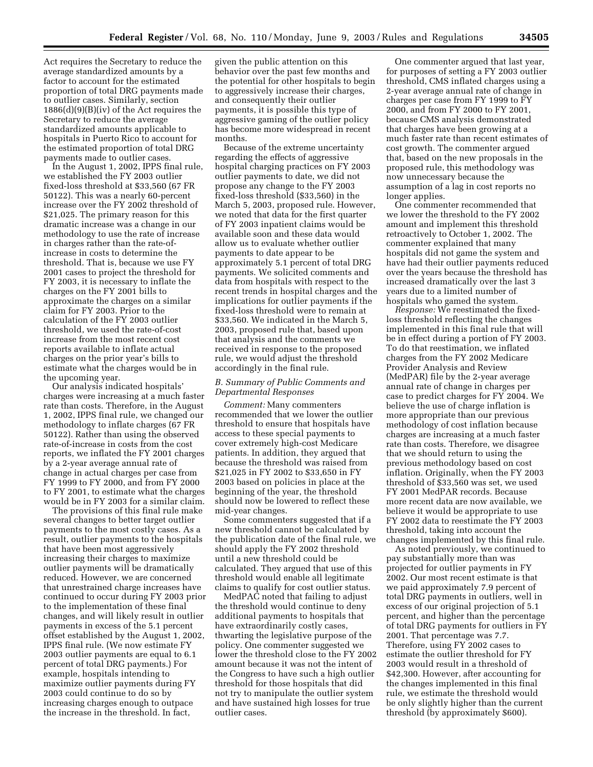Act requires the Secretary to reduce the average standardized amounts by a factor to account for the estimated proportion of total DRG payments made to outlier cases. Similarly, section 1886(d)(9)(B)(iv) of the Act requires the Secretary to reduce the average standardized amounts applicable to hospitals in Puerto Rico to account for the estimated proportion of total DRG payments made to outlier cases.

In the August 1, 2002, IPPS final rule, we established the FY 2003 outlier fixed-loss threshold at \$33,560 (67 FR 50122). This was a nearly 60-percent increase over the FY 2002 threshold of \$21,025. The primary reason for this dramatic increase was a change in our methodology to use the rate of increase in charges rather than the rate-ofincrease in costs to determine the threshold. That is, because we use FY 2001 cases to project the threshold for FY 2003, it is necessary to inflate the charges on the FY 2001 bills to approximate the charges on a similar claim for FY 2003. Prior to the calculation of the FY 2003 outlier threshold, we used the rate-of-cost increase from the most recent cost reports available to inflate actual charges on the prior year's bills to estimate what the charges would be in the upcoming year.

Our analysis indicated hospitals' charges were increasing at a much faster rate than costs. Therefore, in the August 1, 2002, IPPS final rule, we changed our methodology to inflate charges (67 FR 50122). Rather than using the observed rate-of-increase in costs from the cost reports, we inflated the FY 2001 charges by a 2-year average annual rate of change in actual charges per case from FY 1999 to FY 2000, and from FY 2000 to FY 2001, to estimate what the charges would be in FY 2003 for a similar claim.

The provisions of this final rule make several changes to better target outlier payments to the most costly cases. As a result, outlier payments to the hospitals that have been most aggressively increasing their charges to maximize outlier payments will be dramatically reduced. However, we are concerned that unrestrained charge increases have continued to occur during FY 2003 prior to the implementation of these final changes, and will likely result in outlier payments in excess of the 5.1 percent offset established by the August 1, 2002, IPPS final rule. (We now estimate FY 2003 outlier payments are equal to 6.1 percent of total DRG payments.) For example, hospitals intending to maximize outlier payments during FY 2003 could continue to do so by increasing charges enough to outpace the increase in the threshold. In fact,

given the public attention on this behavior over the past few months and the potential for other hospitals to begin to aggressively increase their charges, and consequently their outlier payments, it is possible this type of aggressive gaming of the outlier policy has become more widespread in recent months.

Because of the extreme uncertainty regarding the effects of aggressive hospital charging practices on FY 2003 outlier payments to date, we did not propose any change to the FY 2003 fixed-loss threshold (\$33,560) in the March 5, 2003, proposed rule. However, we noted that data for the first quarter of FY 2003 inpatient claims would be available soon and these data would allow us to evaluate whether outlier payments to date appear to be approximately 5.1 percent of total DRG payments. We solicited comments and data from hospitals with respect to the recent trends in hospital charges and the implications for outlier payments if the fixed-loss threshold were to remain at \$33,560. We indicated in the March 5, 2003, proposed rule that, based upon that analysis and the comments we received in response to the proposed rule, we would adjust the threshold accordingly in the final rule.

#### *B. Summary of Public Comments and Departmental Responses*

*Comment:* Many commenters recommended that we lower the outlier threshold to ensure that hospitals have access to these special payments to cover extremely high-cost Medicare patients. In addition, they argued that because the threshold was raised from \$21,025 in FY 2002 to \$33,650 in FY 2003 based on policies in place at the beginning of the year, the threshold should now be lowered to reflect these mid-year changes.

Some commenters suggested that if a new threshold cannot be calculated by the publication date of the final rule, we should apply the FY 2002 threshold until a new threshold could be calculated. They argued that use of this threshold would enable all legitimate claims to qualify for cost outlier status.

MedPAC noted that failing to adjust the threshold would continue to deny additional payments to hospitals that have extraordinarily costly cases, thwarting the legislative purpose of the policy. One commenter suggested we lower the threshold close to the FY 2002 amount because it was not the intent of the Congress to have such a high outlier threshold for those hospitals that did not try to manipulate the outlier system and have sustained high losses for true outlier cases.

One commenter argued that last year, for purposes of setting a FY 2003 outlier threshold, CMS inflated charges using a 2-year average annual rate of change in charges per case from FY 1999 to FY 2000, and from FY 2000 to FY 2001, because CMS analysis demonstrated that charges have been growing at a much faster rate than recent estimates of cost growth. The commenter argued that, based on the new proposals in the proposed rule, this methodology was now unnecessary because the assumption of a lag in cost reports no longer applies.

One commenter recommended that we lower the threshold to the FY 2002 amount and implement this threshold retroactively to October 1, 2002. The commenter explained that many hospitals did not game the system and have had their outlier payments reduced over the years because the threshold has increased dramatically over the last 3 years due to a limited number of hospitals who gamed the system.

*Response:* We reestimated the fixedloss threshold reflecting the changes implemented in this final rule that will be in effect during a portion of FY 2003. To do that reestimation, we inflated charges from the FY 2002 Medicare Provider Analysis and Review (MedPAR) file by the 2-year average annual rate of change in charges per case to predict charges for FY 2004. We believe the use of charge inflation is more appropriate than our previous methodology of cost inflation because charges are increasing at a much faster rate than costs. Therefore, we disagree that we should return to using the previous methodology based on cost inflation. Originally, when the FY 2003 threshold of \$33,560 was set, we used FY 2001 MedPAR records. Because more recent data are now available, we believe it would be appropriate to use FY 2002 data to reestimate the FY 2003 threshold, taking into account the changes implemented by this final rule.

As noted previously, we continued to pay substantially more than was projected for outlier payments in FY 2002. Our most recent estimate is that we paid approximately 7.9 percent of total DRG payments in outliers, well in excess of our original projection of 5.1 percent, and higher than the percentage of total DRG payments for outliers in FY 2001. That percentage was 7.7. Therefore, using FY 2002 cases to estimate the outlier threshold for FY 2003 would result in a threshold of \$42,300. However, after accounting for the changes implemented in this final rule, we estimate the threshold would be only slightly higher than the current threshold (by approximately \$600).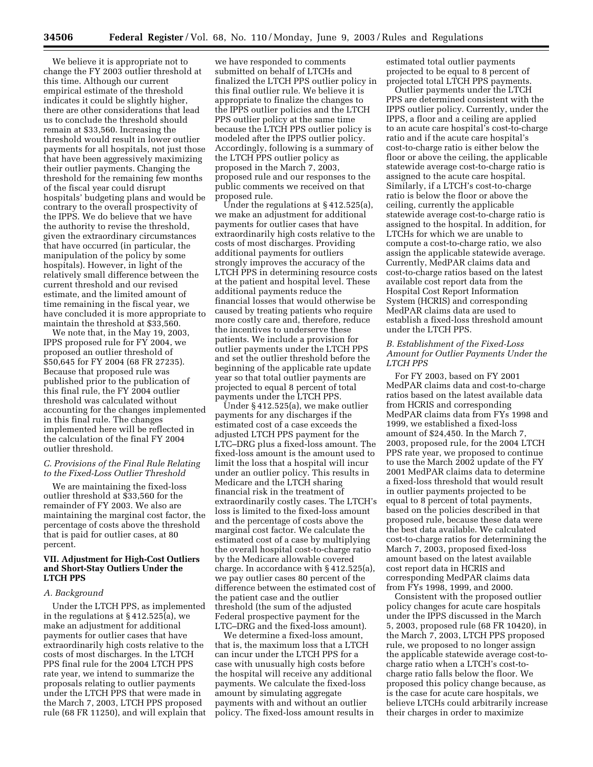We believe it is appropriate not to change the FY 2003 outlier threshold at this time. Although our current empirical estimate of the threshold indicates it could be slightly higher, there are other considerations that lead us to conclude the threshold should remain at \$33,560. Increasing the threshold would result in lower outlier payments for all hospitals, not just those that have been aggressively maximizing their outlier payments. Changing the threshold for the remaining few months of the fiscal year could disrupt hospitals' budgeting plans and would be contrary to the overall prospectivity of the IPPS. We do believe that we have the authority to revise the threshold, given the extraordinary circumstances that have occurred (in particular, the manipulation of the policy by some hospitals). However, in light of the relatively small difference between the current threshold and our revised estimate, and the limited amount of time remaining in the fiscal year, we have concluded it is more appropriate to maintain the threshold at \$33,560.

We note that, in the May 19, 2003, IPPS proposed rule for FY 2004, we proposed an outlier threshold of \$50,645 for FY 2004 (68 FR 27235). Because that proposed rule was published prior to the publication of this final rule, the FY 2004 outlier threshold was calculated without accounting for the changes implemented in this final rule. The changes implemented here will be reflected in the calculation of the final FY 2004 outlier threshold.

#### *C. Provisions of the Final Rule Relating to the Fixed-Loss Outlier Threshold*

We are maintaining the fixed-loss outlier threshold at \$33,560 for the remainder of FY 2003. We also are maintaining the marginal cost factor, the percentage of costs above the threshold that is paid for outlier cases, at 80 percent.

#### **VII. Adjustment for High-Cost Outliers and Short-Stay Outliers Under the LTCH PPS**

#### *A. Background*

Under the LTCH PPS, as implemented in the regulations at § 412.525(a), we make an adjustment for additional payments for outlier cases that have extraordinarily high costs relative to the costs of most discharges. In the LTCH PPS final rule for the 2004 LTCH PPS rate year, we intend to summarize the proposals relating to outlier payments under the LTCH PPS that were made in the March 7, 2003, LTCH PPS proposed rule (68 FR 11250), and will explain that

we have responded to comments submitted on behalf of LTCHs and finalized the LTCH PPS outlier policy in this final outlier rule. We believe it is appropriate to finalize the changes to the IPPS outlier policies and the LTCH PPS outlier policy at the same time because the LTCH PPS outlier policy is modeled after the IPPS outlier policy. Accordingly, following is a summary of the LTCH PPS outlier policy as proposed in the March 7, 2003, proposed rule and our responses to the public comments we received on that proposed rule.

Under the regulations at § 412.525(a), we make an adjustment for additional payments for outlier cases that have extraordinarily high costs relative to the costs of most discharges. Providing additional payments for outliers strongly improves the accuracy of the LTCH PPS in determining resource costs at the patient and hospital level. These additional payments reduce the financial losses that would otherwise be caused by treating patients who require more costly care and, therefore, reduce the incentives to underserve these patients. We include a provision for outlier payments under the LTCH PPS and set the outlier threshold before the beginning of the applicable rate update year so that total outlier payments are projected to equal 8 percent of total payments under the LTCH PPS.

Under § 412.525(a), we make outlier payments for any discharges if the estimated cost of a case exceeds the adjusted LTCH PPS payment for the LTC–DRG plus a fixed-loss amount. The fixed-loss amount is the amount used to limit the loss that a hospital will incur under an outlier policy. This results in Medicare and the LTCH sharing financial risk in the treatment of extraordinarily costly cases. The LTCH's loss is limited to the fixed-loss amount and the percentage of costs above the marginal cost factor. We calculate the estimated cost of a case by multiplying the overall hospital cost-to-charge ratio by the Medicare allowable covered charge. In accordance with § 412.525(a), we pay outlier cases 80 percent of the difference between the estimated cost of the patient case and the outlier threshold (the sum of the adjusted Federal prospective payment for the LTC–DRG and the fixed-loss amount).

We determine a fixed-loss amount, that is, the maximum loss that a LTCH can incur under the LTCH PPS for a case with unusually high costs before the hospital will receive any additional payments. We calculate the fixed-loss amount by simulating aggregate payments with and without an outlier policy. The fixed-loss amount results in estimated total outlier payments projected to be equal to 8 percent of projected total LTCH PPS payments.

Outlier payments under the LTCH PPS are determined consistent with the IPPS outlier policy. Currently, under the IPPS, a floor and a ceiling are applied to an acute care hospital's cost-to-charge ratio and if the acute care hospital's cost-to-charge ratio is either below the floor or above the ceiling, the applicable statewide average cost-to-charge ratio is assigned to the acute care hospital. Similarly, if a LTCH's cost-to-charge ratio is below the floor or above the ceiling, currently the applicable statewide average cost-to-charge ratio is assigned to the hospital. In addition, for LTCHs for which we are unable to compute a cost-to-charge ratio, we also assign the applicable statewide average. Currently, MedPAR claims data and cost-to-charge ratios based on the latest available cost report data from the Hospital Cost Report Information System (HCRIS) and corresponding MedPAR claims data are used to establish a fixed-loss threshold amount under the LTCH PPS.

#### *B. Establishment of the Fixed-Loss Amount for Outlier Payments Under the LTCH PPS*

For FY 2003, based on FY 2001 MedPAR claims data and cost-to-charge ratios based on the latest available data from HCRIS and corresponding MedPAR claims data from FYs 1998 and 1999, we established a fixed-loss amount of \$24,450. In the March 7, 2003, proposed rule, for the 2004 LTCH PPS rate year, we proposed to continue to use the March 2002 update of the FY 2001 MedPAR claims data to determine a fixed-loss threshold that would result in outlier payments projected to be equal to 8 percent of total payments, based on the policies described in that proposed rule, because these data were the best data available. We calculated cost-to-charge ratios for determining the March 7, 2003, proposed fixed-loss amount based on the latest available cost report data in HCRIS and corresponding MedPAR claims data from FYs 1998, 1999, and 2000.

Consistent with the proposed outlier policy changes for acute care hospitals under the IPPS discussed in the March 5, 2003, proposed rule (68 FR 10420), in the March 7, 2003, LTCH PPS proposed rule, we proposed to no longer assign the applicable statewide average cost-tocharge ratio when a LTCH's cost-tocharge ratio falls below the floor. We proposed this policy change because, as is the case for acute care hospitals, we believe LTCHs could arbitrarily increase their charges in order to maximize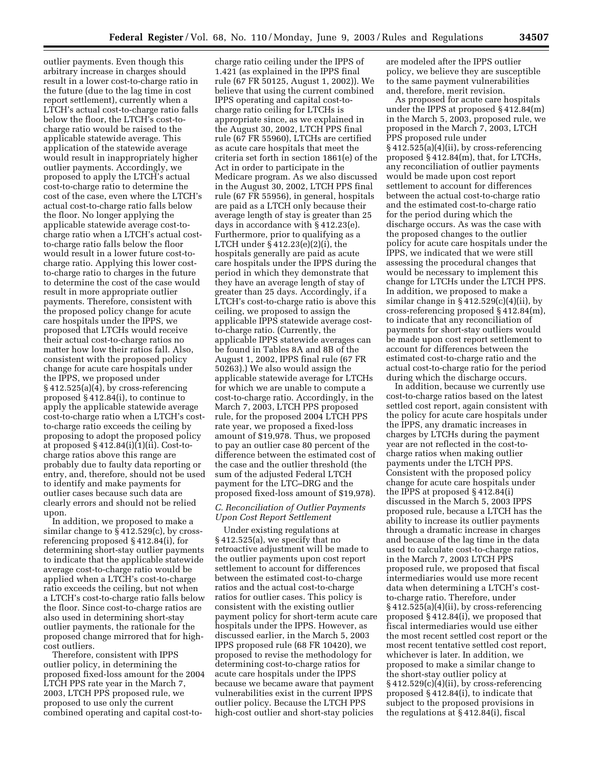outlier payments. Even though this arbitrary increase in charges should result in a lower cost-to-charge ratio in the future (due to the lag time in cost report settlement), currently when a LTCH's actual cost-to-charge ratio falls below the floor, the LTCH's cost-tocharge ratio would be raised to the applicable statewide average. This application of the statewide average would result in inappropriately higher outlier payments. Accordingly, we proposed to apply the LTCH's actual cost-to-charge ratio to determine the cost of the case, even where the LTCH's actual cost-to-charge ratio falls below the floor. No longer applying the applicable statewide average cost-tocharge ratio when a LTCH's actual costto-charge ratio falls below the floor would result in a lower future cost-tocharge ratio. Applying this lower costto-charge ratio to charges in the future to determine the cost of the case would result in more appropriate outlier payments. Therefore, consistent with the proposed policy change for acute care hospitals under the IPPS, we proposed that LTCHs would receive their actual cost-to-charge ratios no matter how low their ratios fall. Also, consistent with the proposed policy change for acute care hospitals under the IPPS, we proposed under § 412.525(a)(4), by cross-referencing proposed § 412.84(i), to continue to apply the applicable statewide average cost-to-charge ratio when a LTCH's costto-charge ratio exceeds the ceiling by proposing to adopt the proposed policy at proposed § 412.84(i)(1)(ii). Cost-tocharge ratios above this range are probably due to faulty data reporting or entry, and, therefore, should not be used to identify and make payments for outlier cases because such data are clearly errors and should not be relied upon.

In addition, we proposed to make a similar change to § 412.529(c), by crossreferencing proposed § 412.84(i), for determining short-stay outlier payments to indicate that the applicable statewide average cost-to-charge ratio would be applied when a LTCH's cost-to-charge ratio exceeds the ceiling, but not when a LTCH's cost-to-charge ratio falls below the floor. Since cost-to-charge ratios are also used in determining short-stay outlier payments, the rationale for the proposed change mirrored that for highcost outliers.

Therefore, consistent with IPPS outlier policy, in determining the proposed fixed-loss amount for the 2004 LTCH PPS rate year in the March 7, 2003, LTCH PPS proposed rule, we proposed to use only the current combined operating and capital cost-to-

charge ratio ceiling under the IPPS of 1.421 (as explained in the IPPS final rule (67 FR 50125, August 1, 2002)). We believe that using the current combined IPPS operating and capital cost-tocharge ratio ceiling for LTCHs is appropriate since, as we explained in the August 30, 2002, LTCH PPS final rule (67 FR 55960), LTCHs are certified as acute care hospitals that meet the criteria set forth in section 1861(e) of the Act in order to participate in the Medicare program. As we also discussed in the August 30, 2002, LTCH PPS final rule (67 FR 55956), in general, hospitals are paid as a LTCH only because their average length of stay is greater than 25 days in accordance with § 412.23(e). Furthermore, prior to qualifying as a LTCH under § 412.23(e)(2)(i), the hospitals generally are paid as acute care hospitals under the IPPS during the period in which they demonstrate that they have an average length of stay of greater than 25 days. Accordingly, if a LTCH's cost-to-charge ratio is above this ceiling, we proposed to assign the applicable IPPS statewide average costto-charge ratio. (Currently, the applicable IPPS statewide averages can be found in Tables 8A and 8B of the August 1, 2002, IPPS final rule (67 FR 50263).) We also would assign the applicable statewide average for LTCHs for which we are unable to compute a cost-to-charge ratio. Accordingly, in the March 7, 2003, LTCH PPS proposed rule, for the proposed 2004 LTCH PPS rate year, we proposed a fixed-loss amount of \$19,978. Thus, we proposed to pay an outlier case 80 percent of the difference between the estimated cost of the case and the outlier threshold (the sum of the adjusted Federal LTCH payment for the LTC–DRG and the proposed fixed-loss amount of \$19,978).

#### *C. Reconciliation of Outlier Payments Upon Cost Report Settlement*

Under existing regulations at § 412.525(a), we specify that no retroactive adjustment will be made to the outlier payments upon cost report settlement to account for differences between the estimated cost-to-charge ratios and the actual cost-to-charge ratios for outlier cases. This policy is consistent with the existing outlier payment policy for short-term acute care hospitals under the IPPS. However, as discussed earlier, in the March 5, 2003 IPPS proposed rule (68 FR 10420), we proposed to revise the methodology for determining cost-to-charge ratios for acute care hospitals under the IPPS because we became aware that payment vulnerabilities exist in the current IPPS outlier policy. Because the LTCH PPS high-cost outlier and short-stay policies

are modeled after the IPPS outlier policy, we believe they are susceptible to the same payment vulnerabilities and, therefore, merit revision.

As proposed for acute care hospitals under the IPPS at proposed § 412.84(m) in the March 5, 2003, proposed rule, we proposed in the March 7, 2003, LTCH PPS proposed rule under § 412.525(a)(4)(ii), by cross-referencing proposed § 412.84(m), that, for LTCHs, any reconciliation of outlier payments would be made upon cost report settlement to account for differences between the actual cost-to-charge ratio and the estimated cost-to-charge ratio for the period during which the discharge occurs. As was the case with the proposed changes to the outlier policy for acute care hospitals under the IPPS, we indicated that we were still assessing the procedural changes that would be necessary to implement this change for LTCHs under the LTCH PPS. In addition, we proposed to make a similar change in  $\S 412.529(c)(4)(ii)$ , by cross-referencing proposed § 412.84(m), to indicate that any reconciliation of payments for short-stay outliers would be made upon cost report settlement to account for differences between the estimated cost-to-charge ratio and the actual cost-to-charge ratio for the period during which the discharge occurs.

In addition, because we currently use cost-to-charge ratios based on the latest settled cost report, again consistent with the policy for acute care hospitals under the IPPS, any dramatic increases in charges by LTCHs during the payment year are not reflected in the cost-tocharge ratios when making outlier payments under the LTCH PPS. Consistent with the proposed policy change for acute care hospitals under the IPPS at proposed § 412.84(i) discussed in the March 5, 2003 IPPS proposed rule, because a LTCH has the ability to increase its outlier payments through a dramatic increase in charges and because of the lag time in the data used to calculate cost-to-charge ratios, in the March 7, 2003 LTCH PPS proposed rule, we proposed that fiscal intermediaries would use more recent data when determining a LTCH's costto-charge ratio. Therefore, under § 412.525(a)(4)(ii), by cross-referencing proposed § 412.84(i), we proposed that fiscal intermediaries would use either the most recent settled cost report or the most recent tentative settled cost report, whichever is later. In addition, we proposed to make a similar change to the short-stay outlier policy at § 412.529(c)(4)(ii), by cross-referencing proposed § 412.84(i), to indicate that subject to the proposed provisions in the regulations at § 412.84(i), fiscal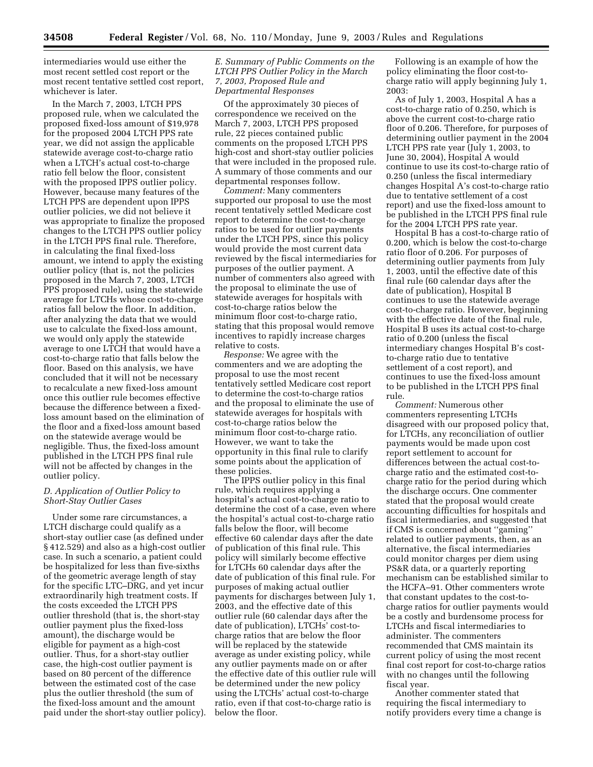intermediaries would use either the most recent settled cost report or the most recent tentative settled cost report, whichever is later.

In the March 7, 2003, LTCH PPS proposed rule, when we calculated the proposed fixed-loss amount of \$19,978 for the proposed 2004 LTCH PPS rate year, we did not assign the applicable statewide average cost-to-charge ratio when a LTCH's actual cost-to-charge ratio fell below the floor, consistent with the proposed IPPS outlier policy. However, because many features of the LTCH PPS are dependent upon IPPS outlier policies, we did not believe it was appropriate to finalize the proposed changes to the LTCH PPS outlier policy in the LTCH PPS final rule. Therefore, in calculating the final fixed-loss amount, we intend to apply the existing outlier policy (that is, not the policies proposed in the March 7, 2003, LTCH PPS proposed rule), using the statewide average for LTCHs whose cost-to-charge ratios fall below the floor. In addition, after analyzing the data that we would use to calculate the fixed-loss amount, we would only apply the statewide average to one LTCH that would have a cost-to-charge ratio that falls below the floor. Based on this analysis, we have concluded that it will not be necessary to recalculate a new fixed-loss amount once this outlier rule becomes effective because the difference between a fixedloss amount based on the elimination of the floor and a fixed-loss amount based on the statewide average would be negligible. Thus, the fixed-loss amount published in the LTCH PPS final rule will not be affected by changes in the outlier policy.

#### *D. Application of Outlier Policy to Short-Stay Outlier Cases*

Under some rare circumstances, a LTCH discharge could qualify as a short-stay outlier case (as defined under § 412.529) and also as a high-cost outlier case. In such a scenario, a patient could be hospitalized for less than five-sixths of the geometric average length of stay for the specific LTC–DRG, and yet incur extraordinarily high treatment costs. If the costs exceeded the LTCH PPS outlier threshold (that is, the short-stay outlier payment plus the fixed-loss amount), the discharge would be eligible for payment as a high-cost outlier. Thus, for a short-stay outlier case, the high-cost outlier payment is based on 80 percent of the difference between the estimated cost of the case plus the outlier threshold (the sum of the fixed-loss amount and the amount paid under the short-stay outlier policy).

#### *E. Summary of Public Comments on the LTCH PPS Outlier Policy in the March 7, 2003, Proposed Rule and Departmental Responses*

Of the approximately 30 pieces of correspondence we received on the March 7, 2003, LTCH PPS proposed rule, 22 pieces contained public comments on the proposed LTCH PPS high-cost and short-stay outlier policies that were included in the proposed rule. A summary of those comments and our departmental responses follow.

*Comment:* Many commenters supported our proposal to use the most recent tentatively settled Medicare cost report to determine the cost-to-charge ratios to be used for outlier payments under the LTCH PPS, since this policy would provide the most current data reviewed by the fiscal intermediaries for purposes of the outlier payment. A number of commenters also agreed with the proposal to eliminate the use of statewide averages for hospitals with cost-to-charge ratios below the minimum floor cost-to-charge ratio, stating that this proposal would remove incentives to rapidly increase charges relative to costs.

*Response:* We agree with the commenters and we are adopting the proposal to use the most recent tentatively settled Medicare cost report to determine the cost-to-charge ratios and the proposal to eliminate the use of statewide averages for hospitals with cost-to-charge ratios below the minimum floor cost-to-charge ratio. However, we want to take the opportunity in this final rule to clarify some points about the application of these policies.

The IPPS outlier policy in this final rule, which requires applying a hospital's actual cost-to-charge ratio to determine the cost of a case, even where the hospital's actual cost-to-charge ratio falls below the floor, will become effective 60 calendar days after the date of publication of this final rule. This policy will similarly become effective for LTCHs 60 calendar days after the date of publication of this final rule. For purposes of making actual outlier payments for discharges between July 1, 2003, and the effective date of this outlier rule (60 calendar days after the date of publication), LTCHs' cost-tocharge ratios that are below the floor will be replaced by the statewide average as under existing policy, while any outlier payments made on or after the effective date of this outlier rule will be determined under the new policy using the LTCHs' actual cost-to-charge ratio, even if that cost-to-charge ratio is below the floor.

Following is an example of how the policy eliminating the floor cost-tocharge ratio will apply beginning July 1, 2003:

As of July 1, 2003, Hospital A has a cost-to-charge ratio of 0.250, which is above the current cost-to-charge ratio floor of 0.206. Therefore, for purposes of determining outlier payment in the 2004 LTCH PPS rate year (July 1, 2003, to June 30, 2004), Hospital A would continue to use its cost-to-charge ratio of 0.250 (unless the fiscal intermediary changes Hospital A's cost-to-charge ratio due to tentative settlement of a cost report) and use the fixed-loss amount to be published in the LTCH PPS final rule for the 2004 LTCH PPS rate year.

Hospital B has a cost-to-charge ratio of 0.200, which is below the cost-to-charge ratio floor of 0.206. For purposes of determining outlier payments from July 1, 2003, until the effective date of this final rule (60 calendar days after the date of publication), Hospital B continues to use the statewide average cost-to-charge ratio. However, beginning with the effective date of the final rule, Hospital B uses its actual cost-to-charge ratio of 0.200 (unless the fiscal intermediary changes Hospital B's costto-charge ratio due to tentative settlement of a cost report), and continues to use the fixed-loss amount to be published in the LTCH PPS final rule.

*Comment:* Numerous other commenters representing LTCHs disagreed with our proposed policy that, for LTCHs, any reconciliation of outlier payments would be made upon cost report settlement to account for differences between the actual cost-tocharge ratio and the estimated cost-tocharge ratio for the period during which the discharge occurs. One commenter stated that the proposal would create accounting difficulties for hospitals and fiscal intermediaries, and suggested that if CMS is concerned about ''gaming'' related to outlier payments, then, as an alternative, the fiscal intermediaries could monitor charges per diem using PS&R data, or a quarterly reporting mechanism can be established similar to the HCFA–91. Other commenters wrote that constant updates to the cost-tocharge ratios for outlier payments would be a costly and burdensome process for LTCHs and fiscal intermediaries to administer. The commenters recommended that CMS maintain its current policy of using the most recent final cost report for cost-to-charge ratios with no changes until the following fiscal year.

Another commenter stated that requiring the fiscal intermediary to notify providers every time a change is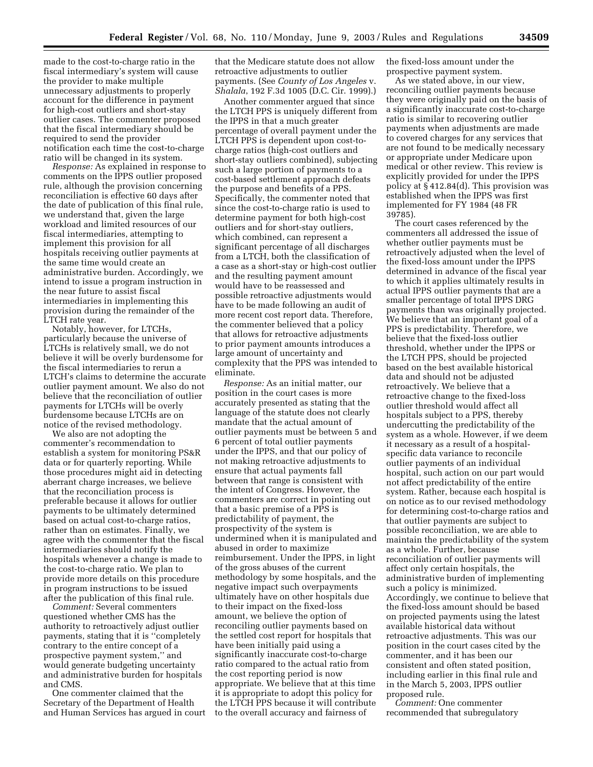made to the cost-to-charge ratio in the fiscal intermediary's system will cause the provider to make multiple unnecessary adjustments to properly account for the difference in payment for high-cost outliers and short-stay outlier cases. The commenter proposed that the fiscal intermediary should be required to send the provider notification each time the cost-to-charge ratio will be changed in its system.

*Response:* As explained in response to comments on the IPPS outlier proposed rule, although the provision concerning reconciliation is effective 60 days after the date of publication of this final rule, we understand that, given the large workload and limited resources of our fiscal intermediaries, attempting to implement this provision for all hospitals receiving outlier payments at the same time would create an administrative burden. Accordingly, we intend to issue a program instruction in the near future to assist fiscal intermediaries in implementing this provision during the remainder of the LTCH rate year.

Notably, however, for LTCHs, particularly because the universe of LTCHs is relatively small, we do not believe it will be overly burdensome for the fiscal intermediaries to rerun a LTCH's claims to determine the accurate outlier payment amount. We also do not believe that the reconciliation of outlier payments for LTCHs will be overly burdensome because LTCHs are on notice of the revised methodology.

We also are not adopting the commenter's recommendation to establish a system for monitoring PS&R data or for quarterly reporting. While those procedures might aid in detecting aberrant charge increases, we believe that the reconciliation process is preferable because it allows for outlier payments to be ultimately determined based on actual cost-to-charge ratios, rather than on estimates. Finally, we agree with the commenter that the fiscal intermediaries should notify the hospitals whenever a change is made to the cost-to-charge ratio. We plan to provide more details on this procedure in program instructions to be issued after the publication of this final rule.

*Comment:* Several commenters questioned whether CMS has the authority to retroactively adjust outlier payments, stating that it is ''completely contrary to the entire concept of a prospective payment system,'' and would generate budgeting uncertainty and administrative burden for hospitals and CMS.

One commenter claimed that the Secretary of the Department of Health and Human Services has argued in court that the Medicare statute does not allow retroactive adjustments to outlier payments. (See *County of Los Angeles* v. *Shalala*, 192 F.3d 1005 (D.C. Cir. 1999).)

Another commenter argued that since the LTCH PPS is uniquely different from the IPPS in that a much greater percentage of overall payment under the LTCH PPS is dependent upon cost-tocharge ratios (high-cost outliers and short-stay outliers combined), subjecting such a large portion of payments to a cost-based settlement approach defeats the purpose and benefits of a PPS. Specifically, the commenter noted that since the cost-to-charge ratio is used to determine payment for both high-cost outliers and for short-stay outliers, which combined, can represent a significant percentage of all discharges from a LTCH, both the classification of a case as a short-stay or high-cost outlier and the resulting payment amount would have to be reassessed and possible retroactive adjustments would have to be made following an audit of more recent cost report data. Therefore, the commenter believed that a policy that allows for retroactive adjustments to prior payment amounts introduces a large amount of uncertainty and complexity that the PPS was intended to eliminate.

*Response:* As an initial matter, our position in the court cases is more accurately presented as stating that the language of the statute does not clearly mandate that the actual amount of outlier payments must be between 5 and 6 percent of total outlier payments under the IPPS, and that our policy of not making retroactive adjustments to ensure that actual payments fall between that range is consistent with the intent of Congress. However, the commenters are correct in pointing out that a basic premise of a PPS is predictability of payment, the prospectivity of the system is undermined when it is manipulated and abused in order to maximize reimbursement. Under the IPPS, in light of the gross abuses of the current methodology by some hospitals, and the negative impact such overpayments ultimately have on other hospitals due to their impact on the fixed-loss amount, we believe the option of reconciling outlier payments based on the settled cost report for hospitals that have been initially paid using a significantly inaccurate cost-to-charge ratio compared to the actual ratio from the cost reporting period is now appropriate. We believe that at this time it is appropriate to adopt this policy for the LTCH PPS because it will contribute to the overall accuracy and fairness of

the fixed-loss amount under the prospective payment system.

As we stated above, in our view, reconciling outlier payments because they were originally paid on the basis of a significantly inaccurate cost-to-charge ratio is similar to recovering outlier payments when adjustments are made to covered charges for any services that are not found to be medically necessary or appropriate under Medicare upon medical or other review. This review is explicitly provided for under the IPPS policy at § 412.84(d). This provision was established when the IPPS was first implemented for FY 1984 (48 FR 39785).

The court cases referenced by the commenters all addressed the issue of whether outlier payments must be retroactively adjusted when the level of the fixed-loss amount under the IPPS determined in advance of the fiscal year to which it applies ultimately results in actual IPPS outlier payments that are a smaller percentage of total IPPS DRG payments than was originally projected. We believe that an important goal of a PPS is predictability. Therefore, we believe that the fixed-loss outlier threshold, whether under the IPPS or the LTCH PPS, should be projected based on the best available historical data and should not be adjusted retroactively. We believe that a retroactive change to the fixed-loss outlier threshold would affect all hospitals subject to a PPS, thereby undercutting the predictability of the system as a whole. However, if we deem it necessary as a result of a hospitalspecific data variance to reconcile outlier payments of an individual hospital, such action on our part would not affect predictability of the entire system. Rather, because each hospital is on notice as to our revised methodology for determining cost-to-charge ratios and that outlier payments are subject to possible reconciliation, we are able to maintain the predictability of the system as a whole. Further, because reconciliation of outlier payments will affect only certain hospitals, the administrative burden of implementing such a policy is minimized. Accordingly, we continue to believe that the fixed-loss amount should be based on projected payments using the latest available historical data without retroactive adjustments. This was our position in the court cases cited by the commenter, and it has been our consistent and often stated position, including earlier in this final rule and in the March 5, 2003, IPPS outlier proposed rule.

*Comment:* One commenter recommended that subregulatory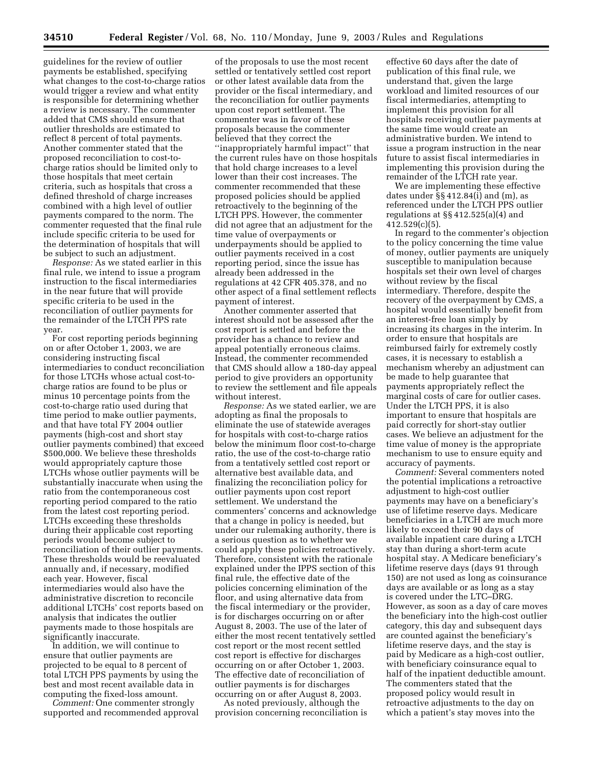guidelines for the review of outlier payments be established, specifying what changes to the cost-to-charge ratios would trigger a review and what entity is responsible for determining whether a review is necessary. The commenter added that CMS should ensure that outlier thresholds are estimated to reflect 8 percent of total payments. Another commenter stated that the proposed reconciliation to cost-tocharge ratios should be limited only to those hospitals that meet certain criteria, such as hospitals that cross a defined threshold of charge increases combined with a high level of outlier payments compared to the norm. The commenter requested that the final rule include specific criteria to be used for the determination of hospitals that will be subject to such an adjustment.

*Response:* As we stated earlier in this final rule, we intend to issue a program instruction to the fiscal intermediaries in the near future that will provide specific criteria to be used in the reconciliation of outlier payments for the remainder of the LTCH PPS rate year.

For cost reporting periods beginning on or after October 1, 2003, we are considering instructing fiscal intermediaries to conduct reconciliation for those LTCHs whose actual cost-tocharge ratios are found to be plus or minus 10 percentage points from the cost-to-charge ratio used during that time period to make outlier payments, and that have total FY 2004 outlier payments (high-cost and short stay outlier payments combined) that exceed \$500,000. We believe these thresholds would appropriately capture those LTCHs whose outlier payments will be substantially inaccurate when using the ratio from the contemporaneous cost reporting period compared to the ratio from the latest cost reporting period. LTCHs exceeding these thresholds during their applicable cost reporting periods would become subject to reconciliation of their outlier payments. These thresholds would be reevaluated annually and, if necessary, modified each year. However, fiscal intermediaries would also have the administrative discretion to reconcile additional LTCHs' cost reports based on analysis that indicates the outlier payments made to those hospitals are significantly inaccurate.

In addition, we will continue to ensure that outlier payments are projected to be equal to 8 percent of total LTCH PPS payments by using the best and most recent available data in computing the fixed-loss amount.

*Comment:* One commenter strongly supported and recommended approval

of the proposals to use the most recent settled or tentatively settled cost report or other latest available data from the provider or the fiscal intermediary, and the reconciliation for outlier payments upon cost report settlement. The commenter was in favor of these proposals because the commenter believed that they correct the ''inappropriately harmful impact'' that the current rules have on those hospitals that hold charge increases to a level lower than their cost increases. The commenter recommended that these proposed policies should be applied retroactively to the beginning of the LTCH PPS. However, the commenter did not agree that an adjustment for the time value of overpayments or underpayments should be applied to outlier payments received in a cost reporting period, since the issue has already been addressed in the regulations at 42 CFR 405.378, and no other aspect of a final settlement reflects payment of interest.

Another commenter asserted that interest should not be assessed after the cost report is settled and before the provider has a chance to review and appeal potentially erroneous claims. Instead, the commenter recommended that CMS should allow a 180-day appeal period to give providers an opportunity to review the settlement and file appeals without interest.

*Response:* As we stated earlier, we are adopting as final the proposals to eliminate the use of statewide averages for hospitals with cost-to-charge ratios below the minimum floor cost-to-charge ratio, the use of the cost-to-charge ratio from a tentatively settled cost report or alternative best available data, and finalizing the reconciliation policy for outlier payments upon cost report settlement. We understand the commenters' concerns and acknowledge that a change in policy is needed, but under our rulemaking authority, there is a serious question as to whether we could apply these policies retroactively. Therefore, consistent with the rationale explained under the IPPS section of this final rule, the effective date of the policies concerning elimination of the floor, and using alternative data from the fiscal intermediary or the provider, is for discharges occurring on or after August 8, 2003. The use of the later of either the most recent tentatively settled cost report or the most recent settled cost report is effective for discharges occurring on or after October 1, 2003. The effective date of reconciliation of outlier payments is for discharges occurring on or after August 8, 2003.

As noted previously, although the provision concerning reconciliation is

effective 60 days after the date of publication of this final rule, we understand that, given the large workload and limited resources of our fiscal intermediaries, attempting to implement this provision for all hospitals receiving outlier payments at the same time would create an administrative burden. We intend to issue a program instruction in the near future to assist fiscal intermediaries in implementing this provision during the remainder of the LTCH rate year.

We are implementing these effective dates under §§ 412.84(i) and (m), as referenced under the LTCH PPS outlier regulations at §§ 412.525(a)(4) and 412.529(c)(5).

In regard to the commenter's objection to the policy concerning the time value of money, outlier payments are uniquely susceptible to manipulation because hospitals set their own level of charges without review by the fiscal intermediary. Therefore, despite the recovery of the overpayment by CMS, a hospital would essentially benefit from an interest-free loan simply by increasing its charges in the interim. In order to ensure that hospitals are reimbursed fairly for extremely costly cases, it is necessary to establish a mechanism whereby an adjustment can be made to help guarantee that payments appropriately reflect the marginal costs of care for outlier cases. Under the LTCH PPS, it is also important to ensure that hospitals are paid correctly for short-stay outlier cases. We believe an adjustment for the time value of money is the appropriate mechanism to use to ensure equity and accuracy of payments.

*Comment:* Several commenters noted the potential implications a retroactive adjustment to high-cost outlier payments may have on a beneficiary's use of lifetime reserve days. Medicare beneficiaries in a LTCH are much more likely to exceed their 90 days of available inpatient care during a LTCH stay than during a short-term acute hospital stay. A Medicare beneficiary's lifetime reserve days (days 91 through 150) are not used as long as coinsurance days are available or as long as a stay is covered under the LTC–DRG. However, as soon as a day of care moves the beneficiary into the high-cost outlier category, this day and subsequent days are counted against the beneficiary's lifetime reserve days, and the stay is paid by Medicare as a high-cost outlier, with beneficiary coinsurance equal to half of the inpatient deductible amount. The commenters stated that the proposed policy would result in retroactive adjustments to the day on which a patient's stay moves into the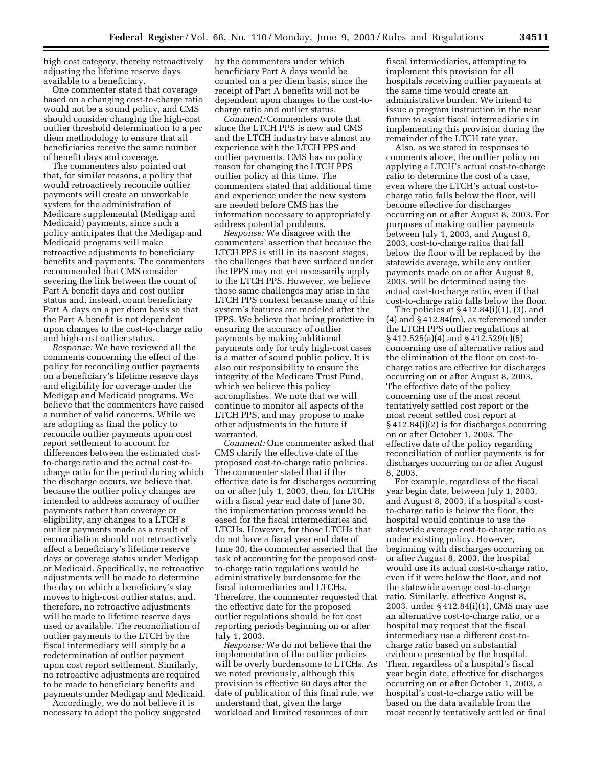high cost category, thereby retroactively adjusting the lifetime reserve days available to a beneficiary.

One commenter stated that coverage based on a changing cost-to-charge ratio would not be a sound policy, and CMS should consider changing the high-cost outlier threshold determination to a per diem methodology to ensure that all beneficiaries receive the same number of benefit days and coverage.

The commenters also pointed out that, for similar reasons, a policy that would retroactively reconcile outlier payments will create an unworkable system for the administration of Medicare supplemental (Medigap and Medicaid) payments, since such a policy anticipates that the Medigap and Medicaid programs will make retroactive adjustments to beneficiary benefits and payments. The commenters recommended that CMS consider severing the link between the count of Part A benefit days and cost outlier status and, instead, count beneficiary Part A days on a per diem basis so that the Part A benefit is not dependent upon changes to the cost-to-charge ratio and high-cost outlier status.

*Response:* We have reviewed all the comments concerning the effect of the policy for reconciling outlier payments on a beneficiary's lifetime reserve days and eligibility for coverage under the Medigap and Medicaid programs. We believe that the commenters have raised a number of valid concerns. While we are adopting as final the policy to reconcile outlier payments upon cost report settlement to account for differences between the estimated costto-charge ratio and the actual cost-tocharge ratio for the period during which the discharge occurs, we believe that, because the outlier policy changes are intended to address accuracy of outlier payments rather than coverage or eligibility, any changes to a LTCH's outlier payments made as a result of reconciliation should not retroactively affect a beneficiary's lifetime reserve days or coverage status under Medigap or Medicaid. Specifically, no retroactive adjustments will be made to determine the day on which a beneficiary's stay moves to high-cost outlier status, and, therefore, no retroactive adjustments will be made to lifetime reserve days used or available. The reconciliation of outlier payments to the LTCH by the fiscal intermediary will simply be a redetermination of outlier payment upon cost report settlement. Similarly, no retroactive adjustments are required to be made to beneficiary benefits and payments under Medigap and Medicaid.

Accordingly, we do not believe it is necessary to adopt the policy suggested by the commenters under which beneficiary Part A days would be counted on a per diem basis, since the receipt of Part A benefits will not be dependent upon changes to the cost-tocharge ratio and outlier status.

*Comment:* Commenters wrote that since the LTCH PPS is new and CMS and the LTCH industry have almost no experience with the LTCH PPS and outlier payments, CMS has no policy reason for changing the LTCH PPS outlier policy at this time. The commenters stated that additional time and experience under the new system are needed before CMS has the information necessary to appropriately address potential problems.

*Response:* We disagree with the commenters' assertion that because the LTCH PPS is still in its nascent stages, the challenges that have surfaced under the IPPS may not yet necessarily apply to the LTCH PPS. However, we believe those same challenges may arise in the LTCH PPS context because many of this system's features are modeled after the IPPS. We believe that being proactive in ensuring the accuracy of outlier payments by making additional payments only for truly high-cost cases is a matter of sound public policy. It is also our responsibility to ensure the integrity of the Medicare Trust Fund, which we believe this policy accomplishes. We note that we will continue to monitor all aspects of the LTCH PPS, and may propose to make other adjustments in the future if warranted.

*Comment:* One commenter asked that CMS clarify the effective date of the proposed cost-to-charge ratio policies. The commenter stated that if the effective date is for discharges occurring on or after July 1, 2003, then, for LTCHs with a fiscal year end date of June 30, the implementation process would be eased for the fiscal intermediaries and LTCHs. However, for those LTCHs that do not have a fiscal year end date of June 30, the commenter asserted that the task of accounting for the proposed costto-charge ratio regulations would be administratively burdensome for the fiscal intermediaries and LTCHs. Therefore, the commenter requested that the effective date for the proposed outlier regulations should be for cost reporting periods beginning on or after July 1, 2003.

*Response:* We do not believe that the implementation of the outlier policies will be overly burdensome to LTCHs. As we noted previously, although this provision is effective 60 days after the date of publication of this final rule, we understand that, given the large workload and limited resources of our

fiscal intermediaries, attempting to implement this provision for all hospitals receiving outlier payments at the same time would create an administrative burden. We intend to issue a program instruction in the near future to assist fiscal intermediaries in implementing this provision during the remainder of the LTCH rate year.

Also, as we stated in responses to comments above, the outlier policy on applying a LTCH's actual cost-to-charge ratio to determine the cost of a case, even where the LTCH's actual cost-tocharge ratio falls below the floor, will become effective for discharges occurring on or after August 8, 2003. For purposes of making outlier payments between July 1, 2003, and August 8, 2003, cost-to-charge ratios that fall below the floor will be replaced by the statewide average, while any outlier payments made on or after August 8, 2003, will be determined using the actual cost-to-charge ratio, even if that cost-to-charge ratio falls below the floor.

The policies at  $\S 412.84(i)(1)$ ,  $(3)$ , and (4) and § 412.84(m), as referenced under the LTCH PPS outlier regulations at § 412.525(a)(4) and § 412.529(c)(5) concerning use of alternative ratios and the elimination of the floor on cost-tocharge ratios are effective for discharges occurring on or after August 8, 2003. The effective date of the policy concerning use of the most recent tentatively settled cost report or the most recent settled cost report at § 412.84(i)(2) is for discharges occurring on or after October 1, 2003. The effective date of the policy regarding reconciliation of outlier payments is for discharges occurring on or after August 8, 2003.

For example, regardless of the fiscal year begin date, between July 1, 2003, and August 8, 2003, if a hospital's costto-charge ratio is below the floor, the hospital would continue to use the statewide average cost-to-charge ratio as under existing policy. However, beginning with discharges occurring on or after August 8, 2003, the hospital would use its actual cost-to-charge ratio, even if it were below the floor, and not the statewide average cost-to-charge ratio. Similarly, effective August 8, 2003, under § 412.84(i)(1), CMS may use an alternative cost-to-charge ratio, or a hospital may request that the fiscal intermediary use a different cost-tocharge ratio based on substantial evidence presented by the hospital. Then, regardless of a hospital's fiscal year begin date, effective for discharges occurring on or after October 1, 2003, a hospital's cost-to-charge ratio will be based on the data available from the most recently tentatively settled or final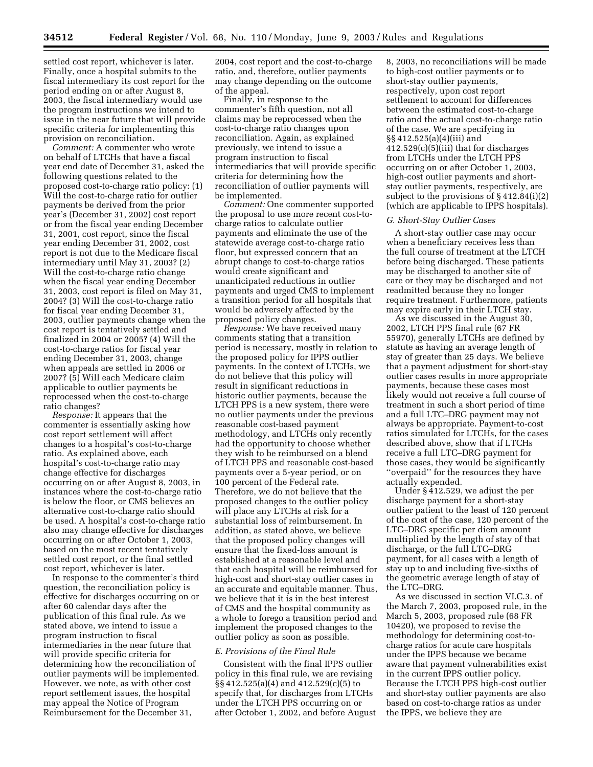settled cost report, whichever is later. Finally, once a hospital submits to the fiscal intermediary its cost report for the period ending on or after August 8, 2003, the fiscal intermediary would use the program instructions we intend to issue in the near future that will provide specific criteria for implementing this provision on reconciliation.

*Comment:* A commenter who wrote on behalf of LTCHs that have a fiscal year end date of December 31, asked the following questions related to the proposed cost-to-charge ratio policy: (1) Will the cost-to-charge ratio for outlier payments be derived from the prior year's (December 31, 2002) cost report or from the fiscal year ending December 31, 2001, cost report, since the fiscal year ending December 31, 2002, cost report is not due to the Medicare fiscal intermediary until May 31, 2003? (2) Will the cost-to-charge ratio change when the fiscal year ending December 31, 2003, cost report is filed on May 31, 2004? (3) Will the cost-to-charge ratio for fiscal year ending December 31, 2003, outlier payments change when the cost report is tentatively settled and finalized in 2004 or 2005? (4) Will the cost-to-charge ratios for fiscal year ending December 31, 2003, change when appeals are settled in 2006 or 2007? (5) Will each Medicare claim applicable to outlier payments be reprocessed when the cost-to-charge ratio changes?

*Response:* It appears that the commenter is essentially asking how cost report settlement will affect changes to a hospital's cost-to-charge ratio. As explained above, each hospital's cost-to-charge ratio may change effective for discharges occurring on or after August 8, 2003, in instances where the cost-to-charge ratio is below the floor, or CMS believes an alternative cost-to-charge ratio should be used. A hospital's cost-to-charge ratio also may change effective for discharges occurring on or after October 1, 2003, based on the most recent tentatively settled cost report, or the final settled cost report, whichever is later.

In response to the commenter's third question, the reconciliation policy is effective for discharges occurring on or after 60 calendar days after the publication of this final rule. As we stated above, we intend to issue a program instruction to fiscal intermediaries in the near future that will provide specific criteria for determining how the reconciliation of outlier payments will be implemented. However, we note, as with other cost report settlement issues, the hospital may appeal the Notice of Program Reimbursement for the December 31,

2004, cost report and the cost-to-charge ratio, and, therefore, outlier payments may change depending on the outcome of the appeal.

Finally, in response to the commenter's fifth question, not all claims may be reprocessed when the cost-to-charge ratio changes upon reconciliation. Again, as explained previously, we intend to issue a program instruction to fiscal intermediaries that will provide specific criteria for determining how the reconciliation of outlier payments will be implemented.

*Comment:* One commenter supported the proposal to use more recent cost-tocharge ratios to calculate outlier payments and eliminate the use of the statewide average cost-to-charge ratio floor, but expressed concern that an abrupt change to cost-to-charge ratios would create significant and unanticipated reductions in outlier payments and urged CMS to implement a transition period for all hospitals that would be adversely affected by the proposed policy changes.

*Response:* We have received many comments stating that a transition period is necessary, mostly in relation to the proposed policy for IPPS outlier payments. In the context of LTCHs, we do not believe that this policy will result in significant reductions in historic outlier payments, because the LTCH PPS is a new system, there were no outlier payments under the previous reasonable cost-based payment methodology, and LTCHs only recently had the opportunity to choose whether they wish to be reimbursed on a blend of LTCH PPS and reasonable cost-based payments over a 5-year period, or on 100 percent of the Federal rate. Therefore, we do not believe that the proposed changes to the outlier policy will place any LTCHs at risk for a substantial loss of reimbursement. In addition, as stated above, we believe that the proposed policy changes will ensure that the fixed-loss amount is established at a reasonable level and that each hospital will be reimbursed for high-cost and short-stay outlier cases in an accurate and equitable manner. Thus, we believe that it is in the best interest of CMS and the hospital community as a whole to forego a transition period and implement the proposed changes to the outlier policy as soon as possible.

#### *E. Provisions of the Final Rule*

Consistent with the final IPPS outlier policy in this final rule, we are revising §§ 412.525(a)(4) and 412.529(c)(5) to specify that, for discharges from LTCHs under the LTCH PPS occurring on or after October 1, 2002, and before August

8, 2003, no reconciliations will be made to high-cost outlier payments or to short-stay outlier payments, respectively, upon cost report settlement to account for differences between the estimated cost-to-charge ratio and the actual cost-to-charge ratio of the case. We are specifying in §§ 412.525(a)(4)(iii) and 412.529(c)(5)(iii) that for discharges from LTCHs under the LTCH PPS occurring on or after October 1, 2003, high-cost outlier payments and shortstay outlier payments, respectively, are subject to the provisions of § 412.84(i)(2) (which are applicable to IPPS hospitals).

#### *G. Short-Stay Outlier Cases*

A short-stay outlier case may occur when a beneficiary receives less than the full course of treatment at the LTCH before being discharged. These patients may be discharged to another site of care or they may be discharged and not readmitted because they no longer require treatment. Furthermore, patients may expire early in their LTCH stay.

As we discussed in the August 30, 2002, LTCH PPS final rule (67 FR 55970), generally LTCHs are defined by statute as having an average length of stay of greater than 25 days. We believe that a payment adjustment for short-stay outlier cases results in more appropriate payments, because these cases most likely would not receive a full course of treatment in such a short period of time and a full LTC–DRG payment may not always be appropriate. Payment-to-cost ratios simulated for LTCHs, for the cases described above, show that if LTCHs receive a full LTC–DRG payment for those cases, they would be significantly ''overpaid'' for the resources they have actually expended.

Under § 412.529, we adjust the per discharge payment for a short-stay outlier patient to the least of 120 percent of the cost of the case, 120 percent of the LTC–DRG specific per diem amount multiplied by the length of stay of that discharge, or the full LTC–DRG payment, for all cases with a length of stay up to and including five-sixths of the geometric average length of stay of the LTC–DRG.

As we discussed in section VI.C.3. of the March 7, 2003, proposed rule, in the March 5, 2003, proposed rule (68 FR 10420), we proposed to revise the methodology for determining cost-tocharge ratios for acute care hospitals under the IPPS because we became aware that payment vulnerabilities exist in the current IPPS outlier policy. Because the LTCH PPS high-cost outlier and short-stay outlier payments are also based on cost-to-charge ratios as under the IPPS, we believe they are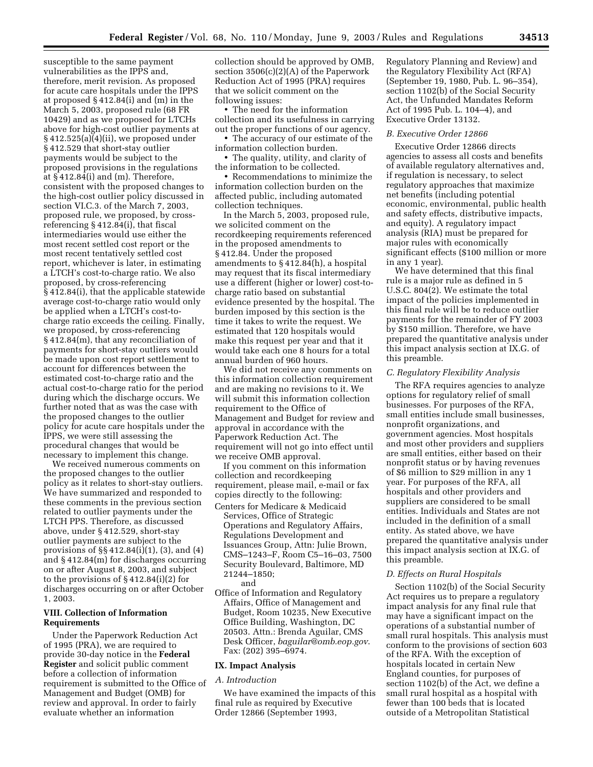susceptible to the same payment vulnerabilities as the IPPS and, therefore, merit revision. As proposed for acute care hospitals under the IPPS at proposed § 412.84(i) and (m) in the March 5, 2003, proposed rule (68 FR 10429) and as we proposed for LTCHs above for high-cost outlier payments at § 412.525(a)(4)(ii), we proposed under § 412.529 that short-stay outlier payments would be subject to the proposed provisions in the regulations at § 412.84(i) and (m). Therefore, consistent with the proposed changes to the high-cost outlier policy discussed in section VI.C.3. of the March 7, 2003, proposed rule, we proposed, by crossreferencing § 412.84(i), that fiscal intermediaries would use either the most recent settled cost report or the most recent tentatively settled cost report, whichever is later, in estimating a LTCH's cost-to-charge ratio. We also proposed, by cross-referencing § 412.84(i), that the applicable statewide average cost-to-charge ratio would only be applied when a LTCH's cost-tocharge ratio exceeds the ceiling. Finally, we proposed, by cross-referencing § 412.84(m), that any reconciliation of payments for short-stay outliers would be made upon cost report settlement to account for differences between the estimated cost-to-charge ratio and the actual cost-to-charge ratio for the period during which the discharge occurs. We further noted that as was the case with the proposed changes to the outlier policy for acute care hospitals under the IPPS, we were still assessing the procedural changes that would be necessary to implement this change.

We received numerous comments on the proposed changes to the outlier policy as it relates to short-stay outliers. We have summarized and responded to these comments in the previous section related to outlier payments under the LTCH PPS. Therefore, as discussed above, under § 412.529, short-stay outlier payments are subject to the provisions of §§ 412.84(i)(1), (3), and (4) and § 412.84(m) for discharges occurring on or after August 8, 2003, and subject to the provisions of § 412.84(i)(2) for discharges occurring on or after October 1, 2003.

#### **VIII. Collection of Information Requirements**

Under the Paperwork Reduction Act of 1995 (PRA), we are required to provide 30-day notice in the **Federal Register** and solicit public comment before a collection of information requirement is submitted to the Office of Management and Budget (OMB) for review and approval. In order to fairly evaluate whether an information

collection should be approved by OMB, section 3506(c)(2)(A) of the Paperwork Reduction Act of 1995 (PRA) requires that we solicit comment on the following issues:

• The need for the information collection and its usefulness in carrying out the proper functions of our agency.

• The accuracy of our estimate of the information collection burden.

• The quality, utility, and clarity of the information to be collected.

• Recommendations to minimize the information collection burden on the affected public, including automated collection techniques.

In the March 5, 2003, proposed rule, we solicited comment on the recordkeeping requirements referenced in the proposed amendments to § 412.84. Under the proposed amendments to § 412.84(h), a hospital may request that its fiscal intermediary use a different (higher or lower) cost-tocharge ratio based on substantial evidence presented by the hospital. The burden imposed by this section is the time it takes to write the request. We estimated that 120 hospitals would make this request per year and that it would take each one 8 hours for a total annual burden of 960 hours.

We did not receive any comments on this information collection requirement and are making no revisions to it. We will submit this information collection requirement to the Office of Management and Budget for review and approval in accordance with the Paperwork Reduction Act. The requirement will not go into effect until we receive OMB approval.

If you comment on this information collection and recordkeeping requirement, please mail, e-mail or fax copies directly to the following: Centers for Medicare & Medicaid Services, Office of Strategic Operations and Regulatory Affairs, Regulations Development and Issuances Group, Attn: Julie Brown, CMS–1243–F, Room C5–16–03, 7500 Security Boulevard, Baltimore, MD 21244–1850; and

Office of Information and Regulatory Affairs, Office of Management and Budget, Room 10235, New Executive Office Building, Washington, DC 20503. Attn.: Brenda Aguilar, CMS Desk Officer, *baguilar@omb.eop.gov*. Fax: (202) 395–6974.

#### **IX. Impact Analysis**

#### *A. Introduction*

We have examined the impacts of this final rule as required by Executive Order 12866 (September 1993,

Regulatory Planning and Review) and the Regulatory Flexibility Act (RFA) (September 19, 1980, Pub. L. 96–354), section 1102(b) of the Social Security Act, the Unfunded Mandates Reform Act of 1995 Pub. L. 104–4), and Executive Order 13132.

#### *B. Executive Order 12866*

Executive Order 12866 directs agencies to assess all costs and benefits of available regulatory alternatives and, if regulation is necessary, to select regulatory approaches that maximize net benefits (including potential economic, environmental, public health and safety effects, distributive impacts, and equity). A regulatory impact analysis (RIA) must be prepared for major rules with economically significant effects (\$100 million or more in any 1 year).

We have determined that this final rule is a major rule as defined in 5 U.S.C. 804(2). We estimate the total impact of the policies implemented in this final rule will be to reduce outlier payments for the remainder of FY 2003 by \$150 million. Therefore, we have prepared the quantitative analysis under this impact analysis section at IX.G. of this preamble.

#### *C. Regulatory Flexibility Analysis*

The RFA requires agencies to analyze options for regulatory relief of small businesses. For purposes of the RFA, small entities include small businesses, nonprofit organizations, and government agencies. Most hospitals and most other providers and suppliers are small entities, either based on their nonprofit status or by having revenues of \$6 million to \$29 million in any 1 year. For purposes of the RFA, all hospitals and other providers and suppliers are considered to be small entities. Individuals and States are not included in the definition of a small entity. As stated above, we have prepared the quantitative analysis under this impact analysis section at IX.G. of this preamble.

#### *D. Effects on Rural Hospitals*

Section 1102(b) of the Social Security Act requires us to prepare a regulatory impact analysis for any final rule that may have a significant impact on the operations of a substantial number of small rural hospitals. This analysis must conform to the provisions of section 603 of the RFA. With the exception of hospitals located in certain New England counties, for purposes of section 1102(b) of the Act, we define a small rural hospital as a hospital with fewer than 100 beds that is located outside of a Metropolitan Statistical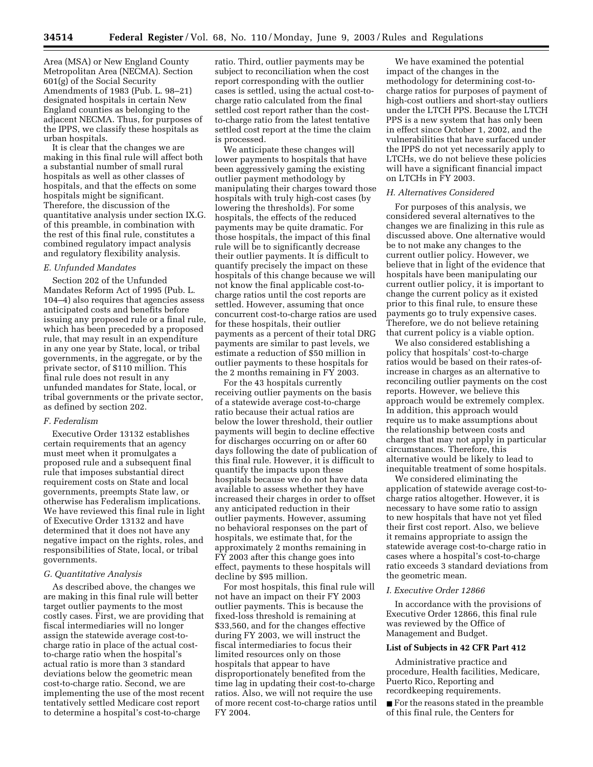Area (MSA) or New England County Metropolitan Area (NECMA). Section 601(g) of the Social Security Amendments of 1983 (Pub. L. 98–21) designated hospitals in certain New England counties as belonging to the adjacent NECMA. Thus, for purposes of the IPPS, we classify these hospitals as urban hospitals.

It is clear that the changes we are making in this final rule will affect both a substantial number of small rural hospitals as well as other classes of hospitals, and that the effects on some hospitals might be significant. Therefore, the discussion of the quantitative analysis under section IX.G. of this preamble, in combination with the rest of this final rule, constitutes a combined regulatory impact analysis and regulatory flexibility analysis.

#### *E. Unfunded Mandates*

Section 202 of the Unfunded Mandates Reform Act of 1995 (Pub. L. 104–4) also requires that agencies assess anticipated costs and benefits before issuing any proposed rule or a final rule, which has been preceded by a proposed rule, that may result in an expenditure in any one year by State, local, or tribal governments, in the aggregate, or by the private sector, of \$110 million. This final rule does not result in any unfunded mandates for State, local, or tribal governments or the private sector, as defined by section 202.

#### *F. Federalism*

Executive Order 13132 establishes certain requirements that an agency must meet when it promulgates a proposed rule and a subsequent final rule that imposes substantial direct requirement costs on State and local governments, preempts State law, or otherwise has Federalism implications. We have reviewed this final rule in light of Executive Order 13132 and have determined that it does not have any negative impact on the rights, roles, and responsibilities of State, local, or tribal governments.

#### *G. Quantitative Analysis*

As described above, the changes we are making in this final rule will better target outlier payments to the most costly cases. First, we are providing that fiscal intermediaries will no longer assign the statewide average cost-tocharge ratio in place of the actual costto-charge ratio when the hospital's actual ratio is more than 3 standard deviations below the geometric mean cost-to-charge ratio. Second, we are implementing the use of the most recent tentatively settled Medicare cost report to determine a hospital's cost-to-charge

ratio. Third, outlier payments may be subject to reconciliation when the cost report corresponding with the outlier cases is settled, using the actual cost-tocharge ratio calculated from the final settled cost report rather than the costto-charge ratio from the latest tentative settled cost report at the time the claim is processed.

We anticipate these changes will lower payments to hospitals that have been aggressively gaming the existing outlier payment methodology by manipulating their charges toward those hospitals with truly high-cost cases (by lowering the thresholds). For some hospitals, the effects of the reduced payments may be quite dramatic. For those hospitals, the impact of this final rule will be to significantly decrease their outlier payments. It is difficult to quantify precisely the impact on these hospitals of this change because we will not know the final applicable cost-tocharge ratios until the cost reports are settled. However, assuming that once concurrent cost-to-charge ratios are used for these hospitals, their outlier payments as a percent of their total DRG payments are similar to past levels, we estimate a reduction of \$50 million in outlier payments to these hospitals for the 2 months remaining in FY 2003.

For the 43 hospitals currently receiving outlier payments on the basis of a statewide average cost-to-charge ratio because their actual ratios are below the lower threshold, their outlier payments will begin to decline effective for discharges occurring on or after 60 days following the date of publication of this final rule. However, it is difficult to quantify the impacts upon these hospitals because we do not have data available to assess whether they have increased their charges in order to offset any anticipated reduction in their outlier payments. However, assuming no behavioral responses on the part of hospitals, we estimate that, for the approximately 2 months remaining in FY 2003 after this change goes into effect, payments to these hospitals will decline by \$95 million.

For most hospitals, this final rule will not have an impact on their FY 2003 outlier payments. This is because the fixed-loss threshold is remaining at \$33,560, and for the changes effective during FY 2003, we will instruct the fiscal intermediaries to focus their limited resources only on those hospitals that appear to have disproportionately benefited from the time lag in updating their cost-to-charge ratios. Also, we will not require the use of more recent cost-to-charge ratios until FY 2004.

We have examined the potential impact of the changes in the methodology for determining cost-tocharge ratios for purposes of payment of high-cost outliers and short-stay outliers under the LTCH PPS. Because the LTCH PPS is a new system that has only been in effect since October 1, 2002, and the vulnerabilities that have surfaced under the IPPS do not yet necessarily apply to LTCHs, we do not believe these policies will have a significant financial impact on LTCHs in FY 2003.

#### *H. Alternatives Considered*

For purposes of this analysis, we considered several alternatives to the changes we are finalizing in this rule as discussed above. One alternative would be to not make any changes to the current outlier policy. However, we believe that in light of the evidence that hospitals have been manipulating our current outlier policy, it is important to change the current policy as it existed prior to this final rule, to ensure these payments go to truly expensive cases. Therefore, we do not believe retaining that current policy is a viable option.

We also considered establishing a policy that hospitals' cost-to-charge ratios would be based on their rates-ofincrease in charges as an alternative to reconciling outlier payments on the cost reports. However, we believe this approach would be extremely complex. In addition, this approach would require us to make assumptions about the relationship between costs and charges that may not apply in particular circumstances. Therefore, this alternative would be likely to lead to inequitable treatment of some hospitals.

We considered eliminating the application of statewide average cost-tocharge ratios altogether. However, it is necessary to have some ratio to assign to new hospitals that have not yet filed their first cost report. Also, we believe it remains appropriate to assign the statewide average cost-to-charge ratio in cases where a hospital's cost-to-charge ratio exceeds 3 standard deviations from the geometric mean.

#### *I. Executive Order 12866*

In accordance with the provisions of Executive Order 12866, this final rule was reviewed by the Office of Management and Budget.

#### **List of Subjects in 42 CFR Part 412**

Administrative practice and procedure, Health facilities, Medicare, Puerto Rico, Reporting and recordkeeping requirements.

■ For the reasons stated in the preamble of this final rule, the Centers for